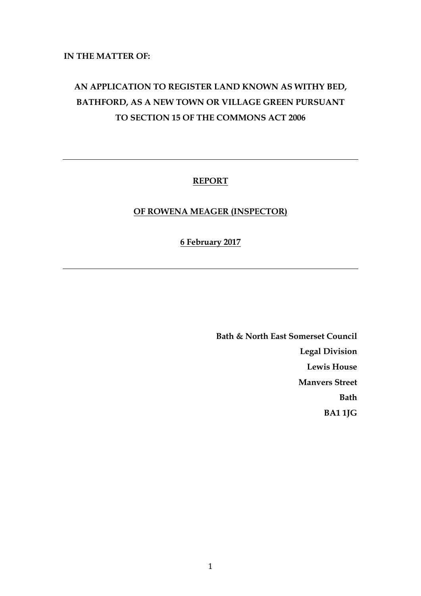# **IN THE MATTER OF:**

# **AN APPLICATION TO REGISTER LAND KNOWN AS WITHY BED, BATHFORD, AS A NEW TOWN OR VILLAGE GREEN PURSUANT TO SECTION 15 OF THE COMMONS ACT 2006**

# **REPORT**

# **OF ROWENA MEAGER (INSPECTOR)**

# **6 February 2017**

**Bath & North East Somerset Council Legal Division Lewis House Manvers Street Bath BA1 1JG**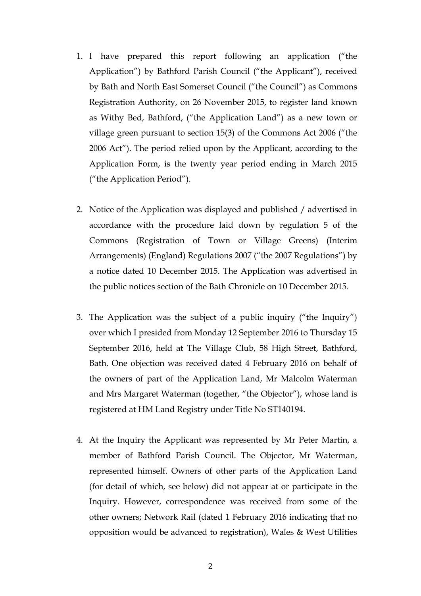- 1. I have prepared this report following an application ("the Application") by Bathford Parish Council ("the Applicant"), received by Bath and North East Somerset Council ("the Council") as Commons Registration Authority, on 26 November 2015, to register land known as Withy Bed, Bathford, ("the Application Land") as a new town or village green pursuant to section 15(3) of the Commons Act 2006 ("the 2006 Act"). The period relied upon by the Applicant, according to the Application Form, is the twenty year period ending in March 2015 ("the Application Period").
- 2. Notice of the Application was displayed and published / advertised in accordance with the procedure laid down by regulation 5 of the Commons (Registration of Town or Village Greens) (Interim Arrangements) (England) Regulations 2007 ("the 2007 Regulations") by a notice dated 10 December 2015. The Application was advertised in the public notices section of the Bath Chronicle on 10 December 2015.
- 3. The Application was the subject of a public inquiry ("the Inquiry") over which I presided from Monday 12 September 2016 to Thursday 15 September 2016, held at The Village Club, 58 High Street, Bathford, Bath. One objection was received dated 4 February 2016 on behalf of the owners of part of the Application Land, Mr Malcolm Waterman and Mrs Margaret Waterman (together, "the Objector"), whose land is registered at HM Land Registry under Title No ST140194.
- 4. At the Inquiry the Applicant was represented by Mr Peter Martin, a member of Bathford Parish Council. The Objector, Mr Waterman, represented himself. Owners of other parts of the Application Land (for detail of which, see below) did not appear at or participate in the Inquiry. However, correspondence was received from some of the other owners; Network Rail (dated 1 February 2016 indicating that no opposition would be advanced to registration), Wales & West Utilities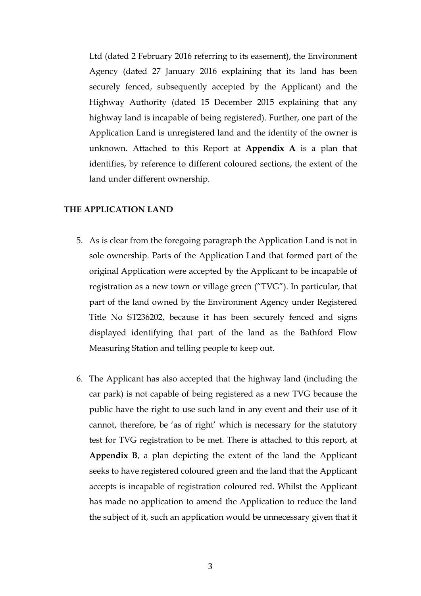Ltd (dated 2 February 2016 referring to its easement), the Environment Agency (dated 27 January 2016 explaining that its land has been securely fenced, subsequently accepted by the Applicant) and the Highway Authority (dated 15 December 2015 explaining that any highway land is incapable of being registered). Further, one part of the Application Land is unregistered land and the identity of the owner is unknown. Attached to this Report at **Appendix A** is a plan that identifies, by reference to different coloured sections, the extent of the land under different ownership.

# **THE APPLICATION LAND**

- 5. As is clear from the foregoing paragraph the Application Land is not in sole ownership. Parts of the Application Land that formed part of the original Application were accepted by the Applicant to be incapable of registration as a new town or village green ("TVG"). In particular, that part of the land owned by the Environment Agency under Registered Title No ST236202, because it has been securely fenced and signs displayed identifying that part of the land as the Bathford Flow Measuring Station and telling people to keep out.
- 6. The Applicant has also accepted that the highway land (including the car park) is not capable of being registered as a new TVG because the public have the right to use such land in any event and their use of it cannot, therefore, be 'as of right' which is necessary for the statutory test for TVG registration to be met. There is attached to this report, at **Appendix B**, a plan depicting the extent of the land the Applicant seeks to have registered coloured green and the land that the Applicant accepts is incapable of registration coloured red. Whilst the Applicant has made no application to amend the Application to reduce the land the subject of it, such an application would be unnecessary given that it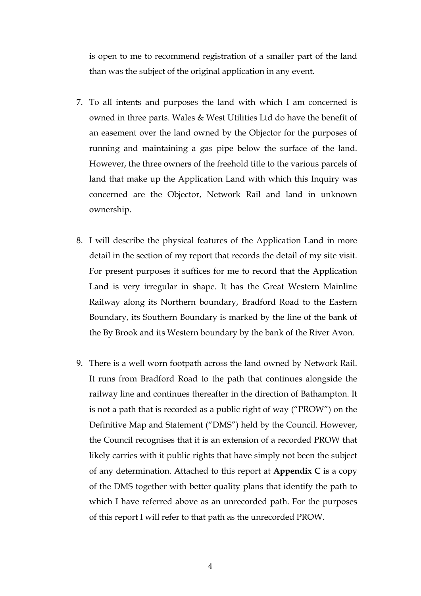is open to me to recommend registration of a smaller part of the land than was the subject of the original application in any event.

- 7. To all intents and purposes the land with which I am concerned is owned in three parts. Wales & West Utilities Ltd do have the benefit of an easement over the land owned by the Objector for the purposes of running and maintaining a gas pipe below the surface of the land. However, the three owners of the freehold title to the various parcels of land that make up the Application Land with which this Inquiry was concerned are the Objector, Network Rail and land in unknown ownership.
- 8. I will describe the physical features of the Application Land in more detail in the section of my report that records the detail of my site visit. For present purposes it suffices for me to record that the Application Land is very irregular in shape. It has the Great Western Mainline Railway along its Northern boundary, Bradford Road to the Eastern Boundary, its Southern Boundary is marked by the line of the bank of the By Brook and its Western boundary by the bank of the River Avon.
- 9. There is a well worn footpath across the land owned by Network Rail. It runs from Bradford Road to the path that continues alongside the railway line and continues thereafter in the direction of Bathampton. It is not a path that is recorded as a public right of way ("PROW") on the Definitive Map and Statement ("DMS") held by the Council. However, the Council recognises that it is an extension of a recorded PROW that likely carries with it public rights that have simply not been the subject of any determination. Attached to this report at **Appendix C** is a copy of the DMS together with better quality plans that identify the path to which I have referred above as an unrecorded path. For the purposes of this report I will refer to that path as the unrecorded PROW.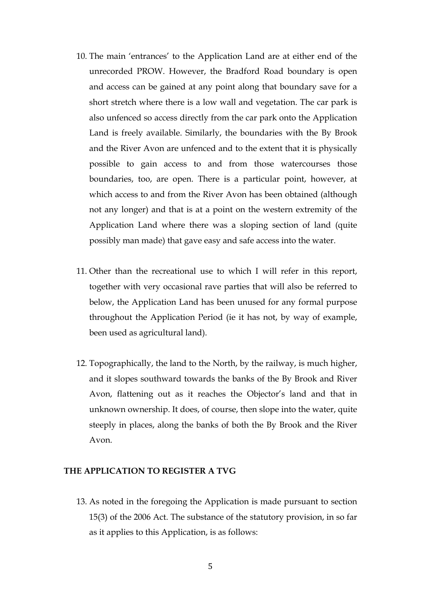- 10. The main 'entrances' to the Application Land are at either end of the unrecorded PROW. However, the Bradford Road boundary is open and access can be gained at any point along that boundary save for a short stretch where there is a low wall and vegetation. The car park is also unfenced so access directly from the car park onto the Application Land is freely available. Similarly, the boundaries with the By Brook and the River Avon are unfenced and to the extent that it is physically possible to gain access to and from those watercourses those boundaries, too, are open. There is a particular point, however, at which access to and from the River Avon has been obtained (although not any longer) and that is at a point on the western extremity of the Application Land where there was a sloping section of land (quite possibly man made) that gave easy and safe access into the water.
- 11. Other than the recreational use to which I will refer in this report, together with very occasional rave parties that will also be referred to below, the Application Land has been unused for any formal purpose throughout the Application Period (ie it has not, by way of example, been used as agricultural land).
- 12. Topographically, the land to the North, by the railway, is much higher, and it slopes southward towards the banks of the By Brook and River Avon, flattening out as it reaches the Objector's land and that in unknown ownership. It does, of course, then slope into the water, quite steeply in places, along the banks of both the By Brook and the River Avon.

# **THE APPLICATION TO REGISTER A TVG**

13. As noted in the foregoing the Application is made pursuant to section 15(3) of the 2006 Act. The substance of the statutory provision, in so far as it applies to this Application, is as follows: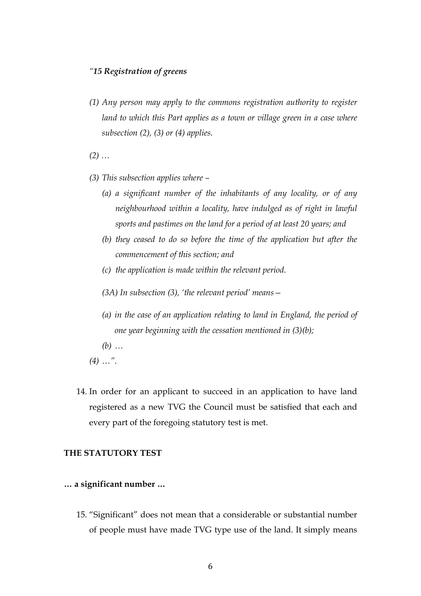# *"15 Registration of greens*

*(1) Any person may apply to the commons registration authority to register*  land to which this Part applies as a town or village green in a case where *subsection (2), (3) or (4) applies.*

*(2) …*

- *(3) This subsection applies where –*
	- *(a) a significant number of the inhabitants of any locality, or of any neighbourhood within a locality, have indulged as of right in lawful sports and pastimes on the land for a period of at least 20 years; and*
	- *(b) they ceased to do so before the time of the application but after the commencement of this section; and*
	- *(c) the application is made within the relevant period.*
	- *(3A) In subsection (3), 'the relevant period' means—*
	- *(a) in the case of an application relating to land in England, the period of one year beginning with the cessation mentioned in (3)(b);*
	- *(b) …*
- *(4) …"*.
- 14. In order for an applicant to succeed in an application to have land registered as a new TVG the Council must be satisfied that each and every part of the foregoing statutory test is met.

# **THE STATUTORY TEST**

- **… a significant number …**
	- 15. "Significant" does not mean that a considerable or substantial number of people must have made TVG type use of the land. It simply means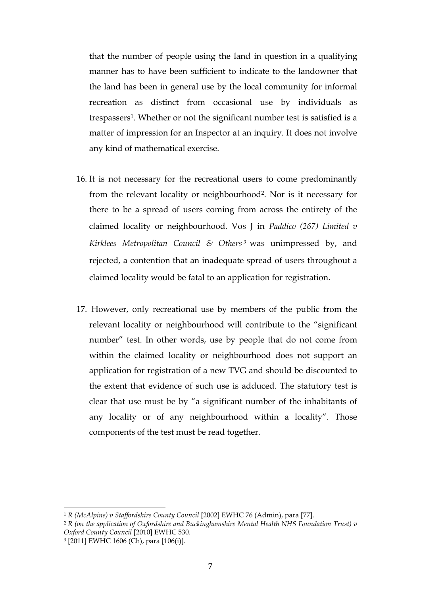that the number of people using the land in question in a qualifying manner has to have been sufficient to indicate to the landowner that the land has been in general use by the local community for informal recreation as distinct from occasional use by individuals as trespassers1. Whether or not the significant number test is satisfied is a matter of impression for an Inspector at an inquiry. It does not involve any kind of mathematical exercise.

- 16. It is not necessary for the recreational users to come predominantly from the relevant locality or neighbourhood2. Nor is it necessary for there to be a spread of users coming from across the entirety of the claimed locality or neighbourhood. Vos J in *Paddico (267) Limited v Kirklees Metropolitan Council & Others <sup>3</sup>* was unimpressed by, and rejected, a contention that an inadequate spread of users throughout a claimed locality would be fatal to an application for registration.
- 17. However, only recreational use by members of the public from the relevant locality or neighbourhood will contribute to the "significant number" test. In other words, use by people that do not come from within the claimed locality or neighbourhood does not support an application for registration of a new TVG and should be discounted to the extent that evidence of such use is adduced. The statutory test is clear that use must be by "a significant number of the inhabitants of any locality or of any neighbourhood within a locality". Those components of the test must be read together.

<sup>1</sup> *R (McAlpine) v Staffordshire County Council* [2002] EWHC 76 (Admin), para [77].

<sup>2</sup> *R (on the application of Oxfordshire and Buckinghamshire Mental Health NHS Foundation Trust) v Oxford County Council* [2010] EWHC 530.

<sup>3</sup> [2011] EWHC 1606 (Ch), para [106(i)].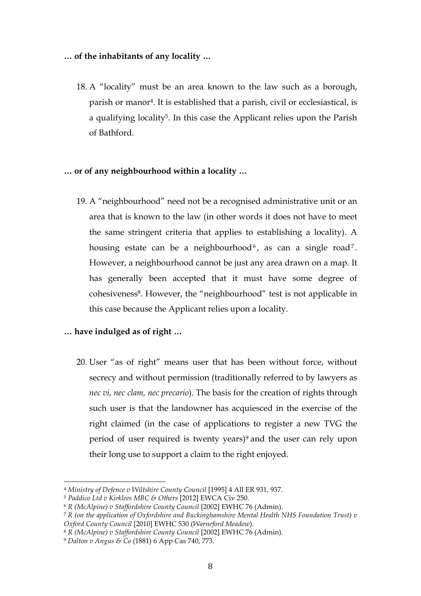# **… of the inhabitants of any locality …**

18. A "locality" must be an area known to the law such as a borough, parish or manor4. It is established that a parish, civil or ecclesiastical, is a qualifying locality5. In this case the Applicant relies upon the Parish of Bathford.

# **… or of any neighbourhood within a locality …**

19. A "neighbourhood" need not be a recognised administrative unit or an area that is known to the law (in other words it does not have to meet the same stringent criteria that applies to establishing a locality). A housing estate can be a neighbourhood<sup>6</sup>, as can a single road<sup>7</sup>. However, a neighbourhood cannot be just any area drawn on a map. It has generally been accepted that it must have some degree of cohesiveness<sup>8</sup>. However, the "neighbourhood" test is not applicable in this case because the Applicant relies upon a locality.

# **… have indulged as of right …**

20. User "as of right" means user that has been without force, without secrecy and without permission (traditionally referred to by lawyers as *nec vi, nec clam, nec precario*). The basis for the creation of rights through such user is that the landowner has acquiesced in the exercise of the right claimed (in the case of applications to register a new TVG the period of user required is twenty years)9 and the user can rely upon their long use to support a claim to the right enjoyed.

<sup>4</sup> *Ministry of Defence v Wiltshire County Council* [1995] 4 All ER 931, 937.

<sup>5</sup> *Paddico Ltd v Kirklees MBC & Others* [2012] EWCA Civ 250.

<sup>6</sup> *R (McAlpine) v Staffordshire County Council* [2002] EWHC 76 (Admin).

<sup>7</sup> *R (on the application of Oxfordshire and Buckinghamshire Mental Health NHS Foundation Trust) v Oxford County Council* [2010] EWHC 530 (*Warneford Meadow*).

<sup>8</sup> *R (McAlpine) v Staffordshire County Council* [2002] EWHC 76 (Admin).

<sup>9</sup> *Dalton v Angus & Co* (1881) 6 App Cas 740, 773.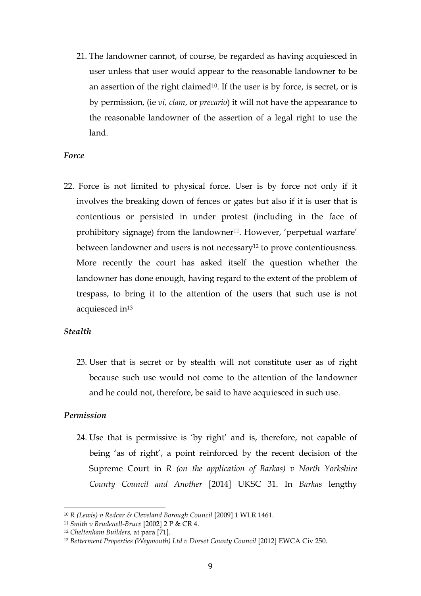21. The landowner cannot, of course, be regarded as having acquiesced in user unless that user would appear to the reasonable landowner to be an assertion of the right claimed<sup>10</sup>. If the user is by force, is secret, or is by permission, (ie *vi, clam*, or *precario*) it will not have the appearance to the reasonable landowner of the assertion of a legal right to use the land.

# *Force*

22. Force is not limited to physical force. User is by force not only if it involves the breaking down of fences or gates but also if it is user that is contentious or persisted in under protest (including in the face of prohibitory signage) from the landowner<sup>11</sup>. However, 'perpetual warfare' between landowner and users is not necessary<sup>12</sup> to prove contentiousness. More recently the court has asked itself the question whether the landowner has done enough, having regard to the extent of the problem of trespass, to bring it to the attention of the users that such use is not acquiesced in<sup>13</sup>

# *Stealth*

23. User that is secret or by stealth will not constitute user as of right because such use would not come to the attention of the landowner and he could not, therefore, be said to have acquiesced in such use.

# *Permission*

24. Use that is permissive is 'by right' and is, therefore, not capable of being 'as of right', a point reinforced by the recent decision of the Supreme Court in *R (on the application of Barkas) v North Yorkshire County Council and Another* [2014] UKSC 31. In *Barkas* lengthy

<sup>10</sup> *R (Lewis) v Redcar & Cleveland Borough Council* [2009] 1 WLR 1461.

<sup>11</sup> *Smith v Brudenell-Bruce* [2002] 2 P & CR 4.

<sup>12</sup> *Cheltenham Builders,* at para [71].

<sup>13</sup> *Betterment Properties (Weymouth) Ltd v Dorset County Council* [2012] EWCA Civ 250.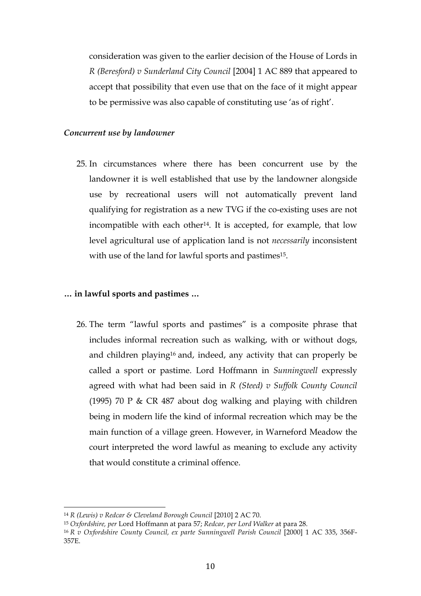consideration was given to the earlier decision of the House of Lords in *R (Beresford) v Sunderland City Council* [2004] 1 AC 889 that appeared to accept that possibility that even use that on the face of it might appear to be permissive was also capable of constituting use 'as of right'.

### *Concurrent use by landowner*

25. In circumstances where there has been concurrent use by the landowner it is well established that use by the landowner alongside use by recreational users will not automatically prevent land qualifying for registration as a new TVG if the co-existing uses are not incompatible with each other<sup>14</sup>. It is accepted, for example, that low level agricultural use of application land is not *necessarily* inconsistent with use of the land for lawful sports and pastimes<sup>15</sup>.

# **… in lawful sports and pastimes …**

26. The term "lawful sports and pastimes" is a composite phrase that includes informal recreation such as walking, with or without dogs, and children playing16 and, indeed, any activity that can properly be called a sport or pastime. Lord Hoffmann in *Sunningwell* expressly agreed with what had been said in *R (Steed) v Suffolk County Council* (1995) 70 P & CR 487 about dog walking and playing with children being in modern life the kind of informal recreation which may be the main function of a village green. However, in Warneford Meadow the court interpreted the word lawful as meaning to exclude any activity that would constitute a criminal offence.

<sup>14</sup> *R (Lewis) v Redcar & Cleveland Borough Council* [2010] 2 AC 70.

<sup>15</sup> *Oxfordshire, per* Lord Hoffmann at para 57; *Redcar, per Lord Walker* at para 28.

<sup>16</sup> *R v Oxfordshire County Council, ex parte Sunningwell Parish Council* [2000] 1 AC 335, 356F-357E.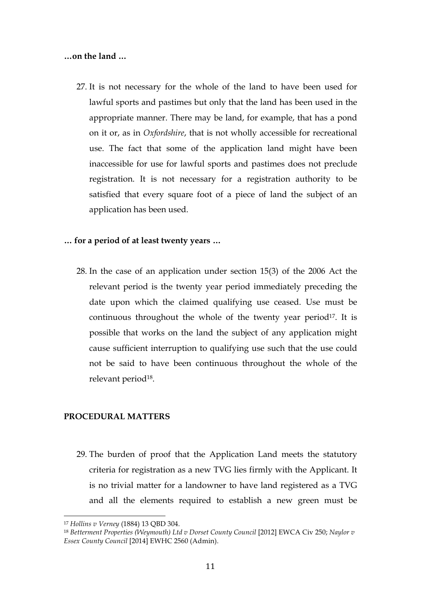#### **…on the land …**

27. It is not necessary for the whole of the land to have been used for lawful sports and pastimes but only that the land has been used in the appropriate manner. There may be land, for example, that has a pond on it or, as in *Oxfordshire*, that is not wholly accessible for recreational use. The fact that some of the application land might have been inaccessible for use for lawful sports and pastimes does not preclude registration. It is not necessary for a registration authority to be satisfied that every square foot of a piece of land the subject of an application has been used.

#### **… for a period of at least twenty years …**

28. In the case of an application under section 15(3) of the 2006 Act the relevant period is the twenty year period immediately preceding the date upon which the claimed qualifying use ceased. Use must be continuous throughout the whole of the twenty year period<sup>17</sup>. It is possible that works on the land the subject of any application might cause sufficient interruption to qualifying use such that the use could not be said to have been continuous throughout the whole of the relevant period<sup>18</sup>.

#### **PROCEDURAL MATTERS**

29. The burden of proof that the Application Land meets the statutory criteria for registration as a new TVG lies firmly with the Applicant. It is no trivial matter for a landowner to have land registered as a TVG and all the elements required to establish a new green must be

<sup>17</sup> *Hollins v Verney* (1884) 13 QBD 304.

<sup>18</sup> *Betterment Properties (Weymouth) Ltd v Dorset County Council* [2012] EWCA Civ 250; *Naylor v Essex County Council* [2014] EWHC 2560 (Admin).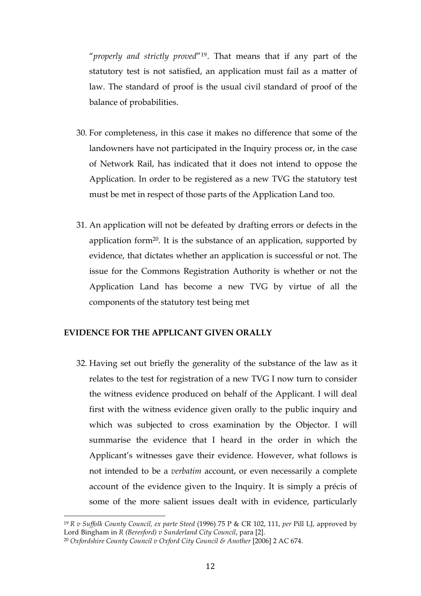"*properly and strictly proved*"19. That means that if any part of the statutory test is not satisfied, an application must fail as a matter of law. The standard of proof is the usual civil standard of proof of the balance of probabilities.

- 30. For completeness, in this case it makes no difference that some of the landowners have not participated in the Inquiry process or, in the case of Network Rail, has indicated that it does not intend to oppose the Application. In order to be registered as a new TVG the statutory test must be met in respect of those parts of the Application Land too.
- 31. An application will not be defeated by drafting errors or defects in the application form20. It is the substance of an application, supported by evidence, that dictates whether an application is successful or not. The issue for the Commons Registration Authority is whether or not the Application Land has become a new TVG by virtue of all the components of the statutory test being met

# **EVIDENCE FOR THE APPLICANT GIVEN ORALLY**

32. Having set out briefly the generality of the substance of the law as it relates to the test for registration of a new TVG I now turn to consider the witness evidence produced on behalf of the Applicant. I will deal first with the witness evidence given orally to the public inquiry and which was subjected to cross examination by the Objector. I will summarise the evidence that I heard in the order in which the Applicant's witnesses gave their evidence. However, what follows is not intended to be a *verbatim* account, or even necessarily a complete account of the evidence given to the Inquiry. It is simply a précis of some of the more salient issues dealt with in evidence, particularly

<sup>19</sup> *R v Suffolk County Council, ex parte Steed* (1996) 75 P & CR 102, 111, *per* Pill LJ, approved by Lord Bingham in *R (Beresford) v Sunderland City Council*, para [2].

<sup>&</sup>lt;sup>20</sup> *Oxfordshire County Council v Oxford City Council & Another* [2006] 2 AC 674.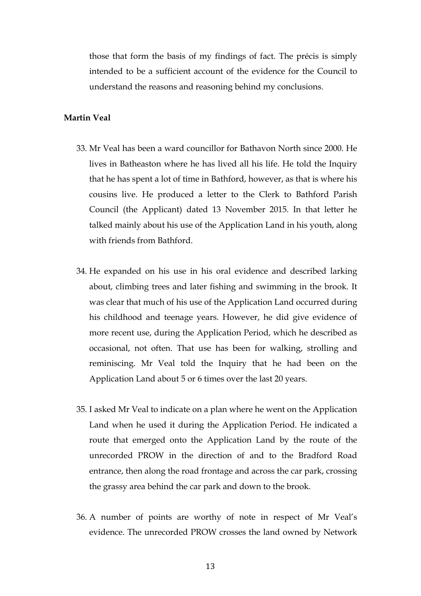those that form the basis of my findings of fact. The précis is simply intended to be a sufficient account of the evidence for the Council to understand the reasons and reasoning behind my conclusions.

#### **Martin Veal**

- 33. Mr Veal has been a ward councillor for Bathavon North since 2000. He lives in Batheaston where he has lived all his life. He told the Inquiry that he has spent a lot of time in Bathford, however, as that is where his cousins live. He produced a letter to the Clerk to Bathford Parish Council (the Applicant) dated 13 November 2015. In that letter he talked mainly about his use of the Application Land in his youth, along with friends from Bathford.
- 34. He expanded on his use in his oral evidence and described larking about, climbing trees and later fishing and swimming in the brook. It was clear that much of his use of the Application Land occurred during his childhood and teenage years. However, he did give evidence of more recent use, during the Application Period, which he described as occasional, not often. That use has been for walking, strolling and reminiscing. Mr Veal told the Inquiry that he had been on the Application Land about 5 or 6 times over the last 20 years.
- 35. I asked Mr Veal to indicate on a plan where he went on the Application Land when he used it during the Application Period. He indicated a route that emerged onto the Application Land by the route of the unrecorded PROW in the direction of and to the Bradford Road entrance, then along the road frontage and across the car park, crossing the grassy area behind the car park and down to the brook.
- 36. A number of points are worthy of note in respect of Mr Veal's evidence. The unrecorded PROW crosses the land owned by Network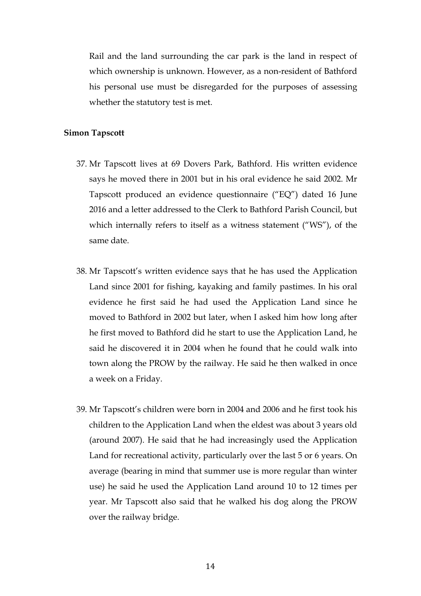Rail and the land surrounding the car park is the land in respect of which ownership is unknown. However, as a non-resident of Bathford his personal use must be disregarded for the purposes of assessing whether the statutory test is met.

### **Simon Tapscott**

- 37. Mr Tapscott lives at 69 Dovers Park, Bathford. His written evidence says he moved there in 2001 but in his oral evidence he said 2002. Mr Tapscott produced an evidence questionnaire ("EQ") dated 16 June 2016 and a letter addressed to the Clerk to Bathford Parish Council, but which internally refers to itself as a witness statement ("WS"), of the same date.
- 38. Mr Tapscott's written evidence says that he has used the Application Land since 2001 for fishing, kayaking and family pastimes. In his oral evidence he first said he had used the Application Land since he moved to Bathford in 2002 but later, when I asked him how long after he first moved to Bathford did he start to use the Application Land, he said he discovered it in 2004 when he found that he could walk into town along the PROW by the railway. He said he then walked in once a week on a Friday.
- 39. Mr Tapscott's children were born in 2004 and 2006 and he first took his children to the Application Land when the eldest was about 3 years old (around 2007). He said that he had increasingly used the Application Land for recreational activity, particularly over the last 5 or 6 years. On average (bearing in mind that summer use is more regular than winter use) he said he used the Application Land around 10 to 12 times per year. Mr Tapscott also said that he walked his dog along the PROW over the railway bridge.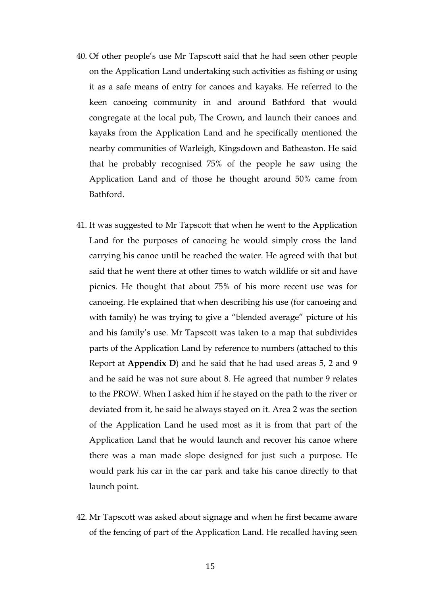- 40. Of other people's use Mr Tapscott said that he had seen other people on the Application Land undertaking such activities as fishing or using it as a safe means of entry for canoes and kayaks. He referred to the keen canoeing community in and around Bathford that would congregate at the local pub, The Crown, and launch their canoes and kayaks from the Application Land and he specifically mentioned the nearby communities of Warleigh, Kingsdown and Batheaston. He said that he probably recognised 75% of the people he saw using the Application Land and of those he thought around 50% came from Bathford.
- 41. It was suggested to Mr Tapscott that when he went to the Application Land for the purposes of canoeing he would simply cross the land carrying his canoe until he reached the water. He agreed with that but said that he went there at other times to watch wildlife or sit and have picnics. He thought that about 75% of his more recent use was for canoeing. He explained that when describing his use (for canoeing and with family) he was trying to give a "blended average" picture of his and his family's use. Mr Tapscott was taken to a map that subdivides parts of the Application Land by reference to numbers (attached to this Report at **Appendix D**) and he said that he had used areas 5, 2 and 9 and he said he was not sure about 8. He agreed that number 9 relates to the PROW. When I asked him if he stayed on the path to the river or deviated from it, he said he always stayed on it. Area 2 was the section of the Application Land he used most as it is from that part of the Application Land that he would launch and recover his canoe where there was a man made slope designed for just such a purpose. He would park his car in the car park and take his canoe directly to that launch point.
- 42. Mr Tapscott was asked about signage and when he first became aware of the fencing of part of the Application Land. He recalled having seen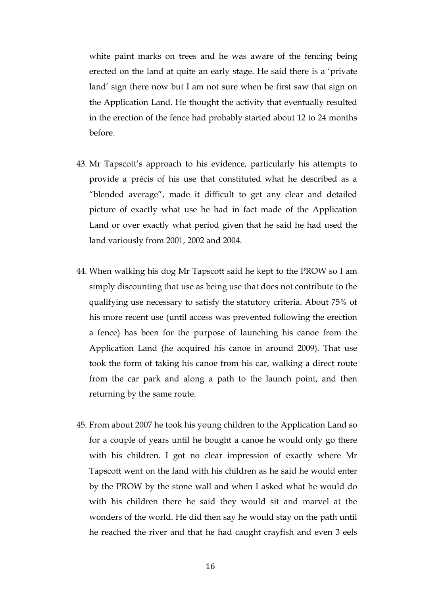white paint marks on trees and he was aware of the fencing being erected on the land at quite an early stage. He said there is a 'private land' sign there now but I am not sure when he first saw that sign on the Application Land. He thought the activity that eventually resulted in the erection of the fence had probably started about 12 to 24 months before.

- 43. Mr Tapscott's approach to his evidence, particularly his attempts to provide a précis of his use that constituted what he described as a "blended average", made it difficult to get any clear and detailed picture of exactly what use he had in fact made of the Application Land or over exactly what period given that he said he had used the land variously from 2001, 2002 and 2004.
- 44. When walking his dog Mr Tapscott said he kept to the PROW so I am simply discounting that use as being use that does not contribute to the qualifying use necessary to satisfy the statutory criteria. About 75% of his more recent use (until access was prevented following the erection a fence) has been for the purpose of launching his canoe from the Application Land (he acquired his canoe in around 2009). That use took the form of taking his canoe from his car, walking a direct route from the car park and along a path to the launch point, and then returning by the same route.
- 45. From about 2007 he took his young children to the Application Land so for a couple of years until he bought a canoe he would only go there with his children. I got no clear impression of exactly where Mr Tapscott went on the land with his children as he said he would enter by the PROW by the stone wall and when I asked what he would do with his children there he said they would sit and marvel at the wonders of the world. He did then say he would stay on the path until he reached the river and that he had caught crayfish and even 3 eels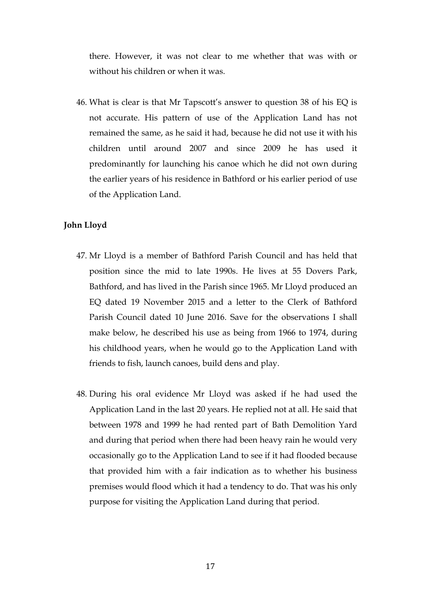there. However, it was not clear to me whether that was with or without his children or when it was.

46. What is clear is that Mr Tapscott's answer to question 38 of his EQ is not accurate. His pattern of use of the Application Land has not remained the same, as he said it had, because he did not use it with his children until around 2007 and since 2009 he has used it predominantly for launching his canoe which he did not own during the earlier years of his residence in Bathford or his earlier period of use of the Application Land.

# **John Lloyd**

- 47. Mr Lloyd is a member of Bathford Parish Council and has held that position since the mid to late 1990s. He lives at 55 Dovers Park, Bathford, and has lived in the Parish since 1965. Mr Lloyd produced an EQ dated 19 November 2015 and a letter to the Clerk of Bathford Parish Council dated 10 June 2016. Save for the observations I shall make below, he described his use as being from 1966 to 1974, during his childhood years, when he would go to the Application Land with friends to fish, launch canoes, build dens and play.
- 48. During his oral evidence Mr Lloyd was asked if he had used the Application Land in the last 20 years. He replied not at all. He said that between 1978 and 1999 he had rented part of Bath Demolition Yard and during that period when there had been heavy rain he would very occasionally go to the Application Land to see if it had flooded because that provided him with a fair indication as to whether his business premises would flood which it had a tendency to do. That was his only purpose for visiting the Application Land during that period.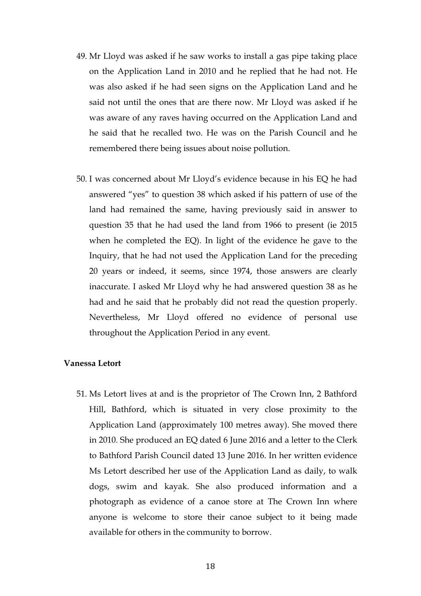- 49. Mr Lloyd was asked if he saw works to install a gas pipe taking place on the Application Land in 2010 and he replied that he had not. He was also asked if he had seen signs on the Application Land and he said not until the ones that are there now. Mr Lloyd was asked if he was aware of any raves having occurred on the Application Land and he said that he recalled two. He was on the Parish Council and he remembered there being issues about noise pollution.
- 50. I was concerned about Mr Lloyd's evidence because in his EQ he had answered "yes" to question 38 which asked if his pattern of use of the land had remained the same, having previously said in answer to question 35 that he had used the land from 1966 to present (ie 2015 when he completed the EQ). In light of the evidence he gave to the Inquiry, that he had not used the Application Land for the preceding 20 years or indeed, it seems, since 1974, those answers are clearly inaccurate. I asked Mr Lloyd why he had answered question 38 as he had and he said that he probably did not read the question properly. Nevertheless, Mr Lloyd offered no evidence of personal use throughout the Application Period in any event.

#### **Vanessa Letort**

51. Ms Letort lives at and is the proprietor of The Crown Inn, 2 Bathford Hill, Bathford, which is situated in very close proximity to the Application Land (approximately 100 metres away). She moved there in 2010. She produced an EQ dated 6 June 2016 and a letter to the Clerk to Bathford Parish Council dated 13 June 2016. In her written evidence Ms Letort described her use of the Application Land as daily, to walk dogs, swim and kayak. She also produced information and a photograph as evidence of a canoe store at The Crown Inn where anyone is welcome to store their canoe subject to it being made available for others in the community to borrow.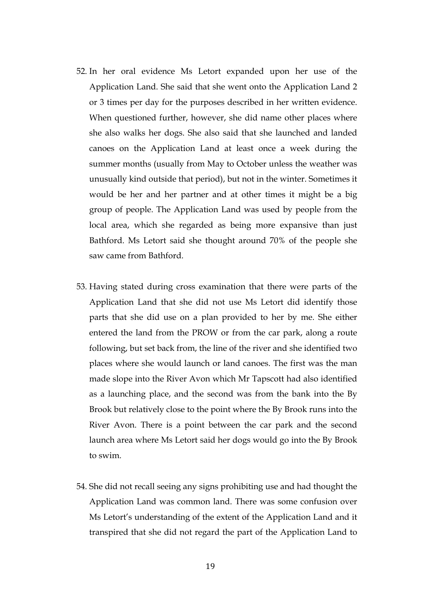- 52. In her oral evidence Ms Letort expanded upon her use of the Application Land. She said that she went onto the Application Land 2 or 3 times per day for the purposes described in her written evidence. When questioned further, however, she did name other places where she also walks her dogs. She also said that she launched and landed canoes on the Application Land at least once a week during the summer months (usually from May to October unless the weather was unusually kind outside that period), but not in the winter. Sometimes it would be her and her partner and at other times it might be a big group of people. The Application Land was used by people from the local area, which she regarded as being more expansive than just Bathford. Ms Letort said she thought around 70% of the people she saw came from Bathford.
- 53. Having stated during cross examination that there were parts of the Application Land that she did not use Ms Letort did identify those parts that she did use on a plan provided to her by me. She either entered the land from the PROW or from the car park, along a route following, but set back from, the line of the river and she identified two places where she would launch or land canoes. The first was the man made slope into the River Avon which Mr Tapscott had also identified as a launching place, and the second was from the bank into the By Brook but relatively close to the point where the By Brook runs into the River Avon. There is a point between the car park and the second launch area where Ms Letort said her dogs would go into the By Brook to swim.
- 54. She did not recall seeing any signs prohibiting use and had thought the Application Land was common land. There was some confusion over Ms Letort's understanding of the extent of the Application Land and it transpired that she did not regard the part of the Application Land to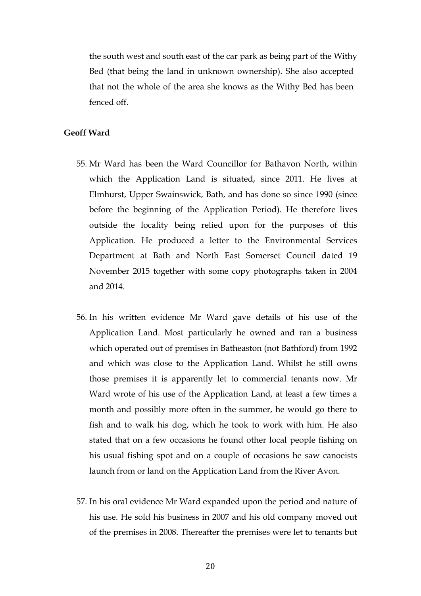the south west and south east of the car park as being part of the Withy Bed (that being the land in unknown ownership). She also accepted that not the whole of the area she knows as the Withy Bed has been fenced off.

### **Geoff Ward**

- 55. Mr Ward has been the Ward Councillor for Bathavon North, within which the Application Land is situated, since 2011. He lives at Elmhurst, Upper Swainswick, Bath, and has done so since 1990 (since before the beginning of the Application Period). He therefore lives outside the locality being relied upon for the purposes of this Application. He produced a letter to the Environmental Services Department at Bath and North East Somerset Council dated 19 November 2015 together with some copy photographs taken in 2004 and 2014.
- 56. In his written evidence Mr Ward gave details of his use of the Application Land. Most particularly he owned and ran a business which operated out of premises in Batheaston (not Bathford) from 1992 and which was close to the Application Land. Whilst he still owns those premises it is apparently let to commercial tenants now. Mr Ward wrote of his use of the Application Land, at least a few times a month and possibly more often in the summer, he would go there to fish and to walk his dog, which he took to work with him. He also stated that on a few occasions he found other local people fishing on his usual fishing spot and on a couple of occasions he saw canoeists launch from or land on the Application Land from the River Avon.
- 57. In his oral evidence Mr Ward expanded upon the period and nature of his use. He sold his business in 2007 and his old company moved out of the premises in 2008. Thereafter the premises were let to tenants but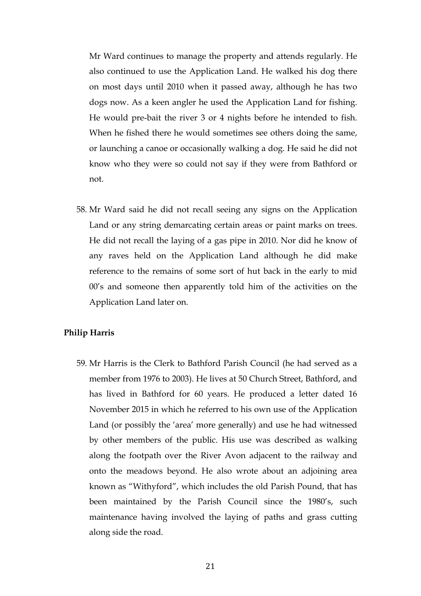Mr Ward continues to manage the property and attends regularly. He also continued to use the Application Land. He walked his dog there on most days until 2010 when it passed away, although he has two dogs now. As a keen angler he used the Application Land for fishing. He would pre-bait the river 3 or 4 nights before he intended to fish. When he fished there he would sometimes see others doing the same, or launching a canoe or occasionally walking a dog. He said he did not know who they were so could not say if they were from Bathford or not.

58. Mr Ward said he did not recall seeing any signs on the Application Land or any string demarcating certain areas or paint marks on trees. He did not recall the laying of a gas pipe in 2010. Nor did he know of any raves held on the Application Land although he did make reference to the remains of some sort of hut back in the early to mid 00's and someone then apparently told him of the activities on the Application Land later on.

# **Philip Harris**

59. Mr Harris is the Clerk to Bathford Parish Council (he had served as a member from 1976 to 2003). He lives at 50 Church Street, Bathford, and has lived in Bathford for 60 years. He produced a letter dated 16 November 2015 in which he referred to his own use of the Application Land (or possibly the 'area' more generally) and use he had witnessed by other members of the public. His use was described as walking along the footpath over the River Avon adjacent to the railway and onto the meadows beyond. He also wrote about an adjoining area known as "Withyford", which includes the old Parish Pound, that has been maintained by the Parish Council since the 1980's, such maintenance having involved the laying of paths and grass cutting along side the road.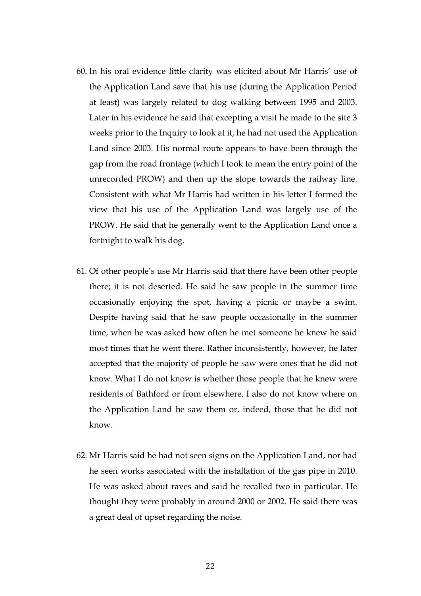- 60. In his oral evidence little clarity was elicited about Mr Harris' use of the Application Land save that his use (during the Application Period at least) was largely related to dog walking between 1995 and 2003. Later in his evidence he said that excepting a visit he made to the site 3 weeks prior to the Inquiry to look at it, he had not used the Application Land since 2003. His normal route appears to have been through the gap from the road frontage (which I took to mean the entry point of the unrecorded PROW) and then up the slope towards the railway line. Consistent with what Mr Harris had written in his letter I formed the view that his use of the Application Land was largely use of the PROW. He said that he generally went to the Application Land once a fortnight to walk his dog.
- 61. Of other people's use Mr Harris said that there have been other people there; it is not deserted. He said he saw people in the summer time occasionally enjoying the spot, having a picnic or maybe a swim. Despite having said that he saw people occasionally in the summer time, when he was asked how often he met someone he knew he said most times that he went there. Rather inconsistently, however, he later accepted that the majority of people he saw were ones that he did not know. What I do not know is whether those people that he knew were residents of Bathford or from elsewhere. I also do not know where on the Application Land he saw them or, indeed, those that he did not know.
- 62. Mr Harris said he had not seen signs on the Application Land, nor had he seen works associated with the installation of the gas pipe in 2010. He was asked about raves and said he recalled two in particular. He thought they were probably in around 2000 or 2002. He said there was a great deal of upset regarding the noise.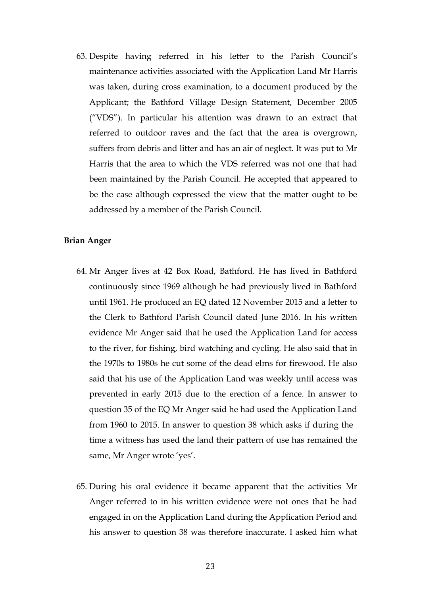63. Despite having referred in his letter to the Parish Council's maintenance activities associated with the Application Land Mr Harris was taken, during cross examination, to a document produced by the Applicant; the Bathford Village Design Statement, December 2005 ("VDS"). In particular his attention was drawn to an extract that referred to outdoor raves and the fact that the area is overgrown, suffers from debris and litter and has an air of neglect. It was put to Mr Harris that the area to which the VDS referred was not one that had been maintained by the Parish Council. He accepted that appeared to be the case although expressed the view that the matter ought to be addressed by a member of the Parish Council.

#### **Brian Anger**

- 64. Mr Anger lives at 42 Box Road, Bathford. He has lived in Bathford continuously since 1969 although he had previously lived in Bathford until 1961. He produced an EQ dated 12 November 2015 and a letter to the Clerk to Bathford Parish Council dated June 2016. In his written evidence Mr Anger said that he used the Application Land for access to the river, for fishing, bird watching and cycling. He also said that in the 1970s to 1980s he cut some of the dead elms for firewood. He also said that his use of the Application Land was weekly until access was prevented in early 2015 due to the erection of a fence. In answer to question 35 of the EQ Mr Anger said he had used the Application Land from 1960 to 2015. In answer to question 38 which asks if during the time a witness has used the land their pattern of use has remained the same, Mr Anger wrote 'yes'.
- 65. During his oral evidence it became apparent that the activities Mr Anger referred to in his written evidence were not ones that he had engaged in on the Application Land during the Application Period and his answer to question 38 was therefore inaccurate. I asked him what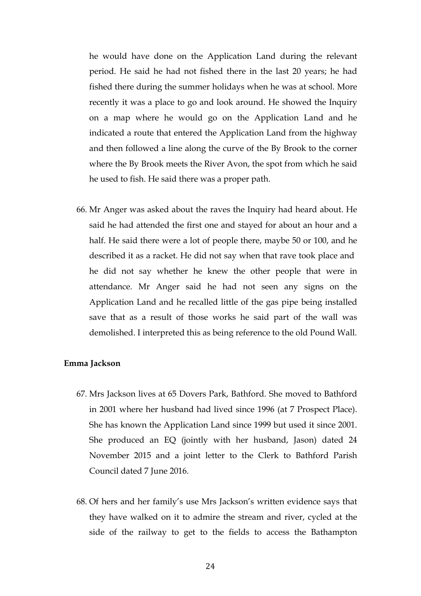he would have done on the Application Land during the relevant period. He said he had not fished there in the last 20 years; he had fished there during the summer holidays when he was at school. More recently it was a place to go and look around. He showed the Inquiry on a map where he would go on the Application Land and he indicated a route that entered the Application Land from the highway and then followed a line along the curve of the By Brook to the corner where the By Brook meets the River Avon, the spot from which he said he used to fish. He said there was a proper path.

66. Mr Anger was asked about the raves the Inquiry had heard about. He said he had attended the first one and stayed for about an hour and a half. He said there were a lot of people there, maybe 50 or 100, and he described it as a racket. He did not say when that rave took place and he did not say whether he knew the other people that were in attendance. Mr Anger said he had not seen any signs on the Application Land and he recalled little of the gas pipe being installed save that as a result of those works he said part of the wall was demolished. I interpreted this as being reference to the old Pound Wall.

#### **Emma Jackson**

- 67. Mrs Jackson lives at 65 Dovers Park, Bathford. She moved to Bathford in 2001 where her husband had lived since 1996 (at 7 Prospect Place). She has known the Application Land since 1999 but used it since 2001. She produced an EQ (jointly with her husband, Jason) dated 24 November 2015 and a joint letter to the Clerk to Bathford Parish Council dated 7 June 2016.
- 68. Of hers and her family's use Mrs Jackson's written evidence says that they have walked on it to admire the stream and river, cycled at the side of the railway to get to the fields to access the Bathampton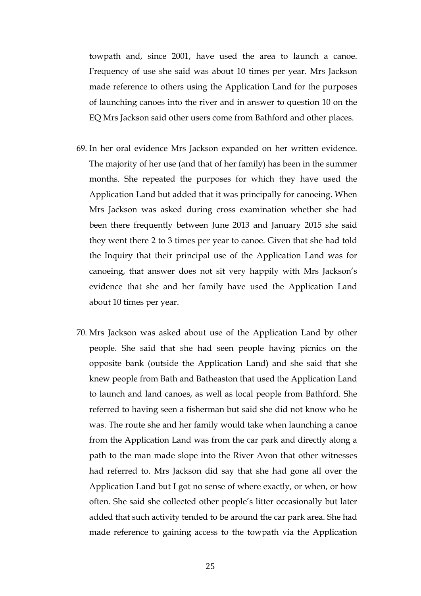towpath and, since 2001, have used the area to launch a canoe. Frequency of use she said was about 10 times per year. Mrs Jackson made reference to others using the Application Land for the purposes of launching canoes into the river and in answer to question 10 on the EQ Mrs Jackson said other users come from Bathford and other places.

- 69. In her oral evidence Mrs Jackson expanded on her written evidence. The majority of her use (and that of her family) has been in the summer months. She repeated the purposes for which they have used the Application Land but added that it was principally for canoeing. When Mrs Jackson was asked during cross examination whether she had been there frequently between June 2013 and January 2015 she said they went there 2 to 3 times per year to canoe. Given that she had told the Inquiry that their principal use of the Application Land was for canoeing, that answer does not sit very happily with Mrs Jackson's evidence that she and her family have used the Application Land about 10 times per year.
- 70. Mrs Jackson was asked about use of the Application Land by other people. She said that she had seen people having picnics on the opposite bank (outside the Application Land) and she said that she knew people from Bath and Batheaston that used the Application Land to launch and land canoes, as well as local people from Bathford. She referred to having seen a fisherman but said she did not know who he was. The route she and her family would take when launching a canoe from the Application Land was from the car park and directly along a path to the man made slope into the River Avon that other witnesses had referred to. Mrs Jackson did say that she had gone all over the Application Land but I got no sense of where exactly, or when, or how often. She said she collected other people's litter occasionally but later added that such activity tended to be around the car park area. She had made reference to gaining access to the towpath via the Application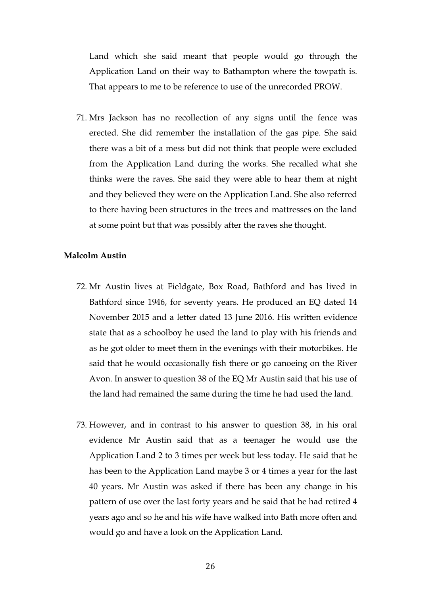Land which she said meant that people would go through the Application Land on their way to Bathampton where the towpath is. That appears to me to be reference to use of the unrecorded PROW.

71. Mrs Jackson has no recollection of any signs until the fence was erected. She did remember the installation of the gas pipe. She said there was a bit of a mess but did not think that people were excluded from the Application Land during the works. She recalled what she thinks were the raves. She said they were able to hear them at night and they believed they were on the Application Land. She also referred to there having been structures in the trees and mattresses on the land at some point but that was possibly after the raves she thought.

# **Malcolm Austin**

- 72. Mr Austin lives at Fieldgate, Box Road, Bathford and has lived in Bathford since 1946, for seventy years. He produced an EQ dated 14 November 2015 and a letter dated 13 June 2016. His written evidence state that as a schoolboy he used the land to play with his friends and as he got older to meet them in the evenings with their motorbikes. He said that he would occasionally fish there or go canoeing on the River Avon. In answer to question 38 of the EQ Mr Austin said that his use of the land had remained the same during the time he had used the land.
- 73. However, and in contrast to his answer to question 38, in his oral evidence Mr Austin said that as a teenager he would use the Application Land 2 to 3 times per week but less today. He said that he has been to the Application Land maybe 3 or 4 times a year for the last 40 years. Mr Austin was asked if there has been any change in his pattern of use over the last forty years and he said that he had retired 4 years ago and so he and his wife have walked into Bath more often and would go and have a look on the Application Land.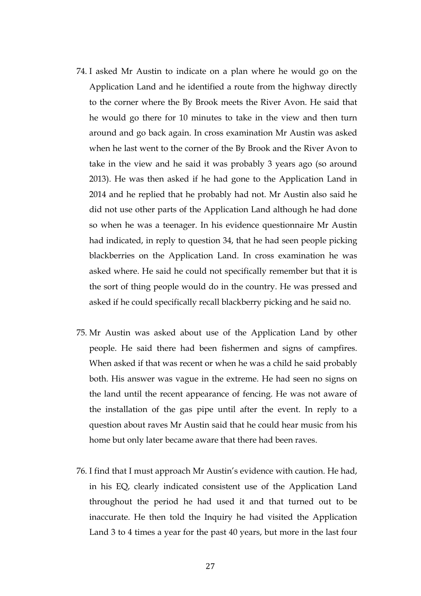- 74. I asked Mr Austin to indicate on a plan where he would go on the Application Land and he identified a route from the highway directly to the corner where the By Brook meets the River Avon. He said that he would go there for 10 minutes to take in the view and then turn around and go back again. In cross examination Mr Austin was asked when he last went to the corner of the By Brook and the River Avon to take in the view and he said it was probably 3 years ago (so around 2013). He was then asked if he had gone to the Application Land in 2014 and he replied that he probably had not. Mr Austin also said he did not use other parts of the Application Land although he had done so when he was a teenager. In his evidence questionnaire Mr Austin had indicated, in reply to question 34, that he had seen people picking blackberries on the Application Land. In cross examination he was asked where. He said he could not specifically remember but that it is the sort of thing people would do in the country. He was pressed and asked if he could specifically recall blackberry picking and he said no.
- 75. Mr Austin was asked about use of the Application Land by other people. He said there had been fishermen and signs of campfires. When asked if that was recent or when he was a child he said probably both. His answer was vague in the extreme. He had seen no signs on the land until the recent appearance of fencing. He was not aware of the installation of the gas pipe until after the event. In reply to a question about raves Mr Austin said that he could hear music from his home but only later became aware that there had been raves.
- 76. I find that I must approach Mr Austin's evidence with caution. He had, in his EQ, clearly indicated consistent use of the Application Land throughout the period he had used it and that turned out to be inaccurate. He then told the Inquiry he had visited the Application Land 3 to 4 times a year for the past 40 years, but more in the last four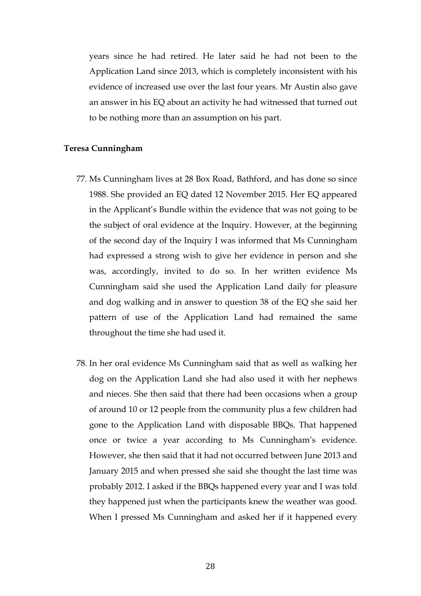years since he had retired. He later said he had not been to the Application Land since 2013, which is completely inconsistent with his evidence of increased use over the last four years. Mr Austin also gave an answer in his EQ about an activity he had witnessed that turned out to be nothing more than an assumption on his part.

# **Teresa Cunningham**

- 77. Ms Cunningham lives at 28 Box Road, Bathford, and has done so since 1988. She provided an EQ dated 12 November 2015. Her EQ appeared in the Applicant's Bundle within the evidence that was not going to be the subject of oral evidence at the Inquiry. However, at the beginning of the second day of the Inquiry I was informed that Ms Cunningham had expressed a strong wish to give her evidence in person and she was, accordingly, invited to do so. In her written evidence Ms Cunningham said she used the Application Land daily for pleasure and dog walking and in answer to question 38 of the EQ she said her pattern of use of the Application Land had remained the same throughout the time she had used it.
- 78. In her oral evidence Ms Cunningham said that as well as walking her dog on the Application Land she had also used it with her nephews and nieces. She then said that there had been occasions when a group of around 10 or 12 people from the community plus a few children had gone to the Application Land with disposable BBQs. That happened once or twice a year according to Ms Cunningham's evidence. However, she then said that it had not occurred between June 2013 and January 2015 and when pressed she said she thought the last time was probably 2012. I asked if the BBQs happened every year and I was told they happened just when the participants knew the weather was good. When I pressed Ms Cunningham and asked her if it happened every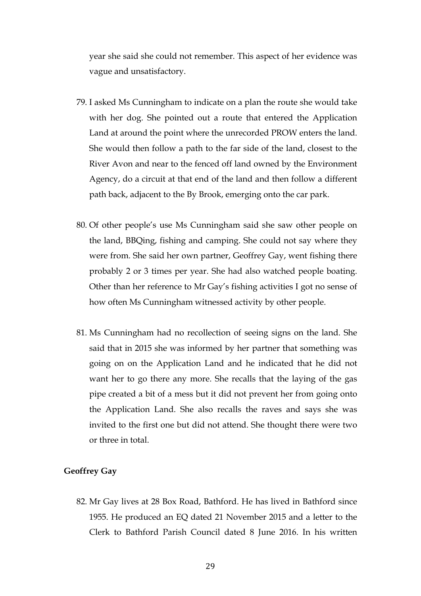year she said she could not remember. This aspect of her evidence was vague and unsatisfactory.

- 79. I asked Ms Cunningham to indicate on a plan the route she would take with her dog. She pointed out a route that entered the Application Land at around the point where the unrecorded PROW enters the land. She would then follow a path to the far side of the land, closest to the River Avon and near to the fenced off land owned by the Environment Agency, do a circuit at that end of the land and then follow a different path back, adjacent to the By Brook, emerging onto the car park.
- 80. Of other people's use Ms Cunningham said she saw other people on the land, BBQing, fishing and camping. She could not say where they were from. She said her own partner, Geoffrey Gay, went fishing there probably 2 or 3 times per year. She had also watched people boating. Other than her reference to Mr Gay's fishing activities I got no sense of how often Ms Cunningham witnessed activity by other people.
- 81. Ms Cunningham had no recollection of seeing signs on the land. She said that in 2015 she was informed by her partner that something was going on on the Application Land and he indicated that he did not want her to go there any more. She recalls that the laying of the gas pipe created a bit of a mess but it did not prevent her from going onto the Application Land. She also recalls the raves and says she was invited to the first one but did not attend. She thought there were two or three in total.

# **Geoffrey Gay**

82. Mr Gay lives at 28 Box Road, Bathford. He has lived in Bathford since 1955. He produced an EQ dated 21 November 2015 and a letter to the Clerk to Bathford Parish Council dated 8 June 2016. In his written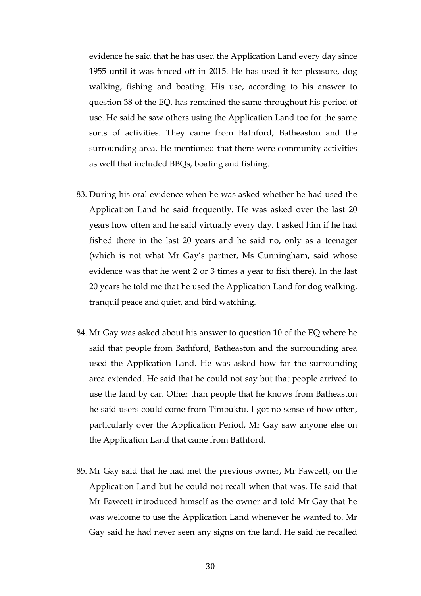evidence he said that he has used the Application Land every day since 1955 until it was fenced off in 2015. He has used it for pleasure, dog walking, fishing and boating. His use, according to his answer to question 38 of the EQ, has remained the same throughout his period of use. He said he saw others using the Application Land too for the same sorts of activities. They came from Bathford, Batheaston and the surrounding area. He mentioned that there were community activities as well that included BBQs, boating and fishing.

- 83. During his oral evidence when he was asked whether he had used the Application Land he said frequently. He was asked over the last 20 years how often and he said virtually every day. I asked him if he had fished there in the last 20 years and he said no, only as a teenager (which is not what Mr Gay's partner, Ms Cunningham, said whose evidence was that he went 2 or 3 times a year to fish there). In the last 20 years he told me that he used the Application Land for dog walking, tranquil peace and quiet, and bird watching.
- 84. Mr Gay was asked about his answer to question 10 of the EQ where he said that people from Bathford, Batheaston and the surrounding area used the Application Land. He was asked how far the surrounding area extended. He said that he could not say but that people arrived to use the land by car. Other than people that he knows from Batheaston he said users could come from Timbuktu. I got no sense of how often, particularly over the Application Period, Mr Gay saw anyone else on the Application Land that came from Bathford.
- 85. Mr Gay said that he had met the previous owner, Mr Fawcett, on the Application Land but he could not recall when that was. He said that Mr Fawcett introduced himself as the owner and told Mr Gay that he was welcome to use the Application Land whenever he wanted to. Mr Gay said he had never seen any signs on the land. He said he recalled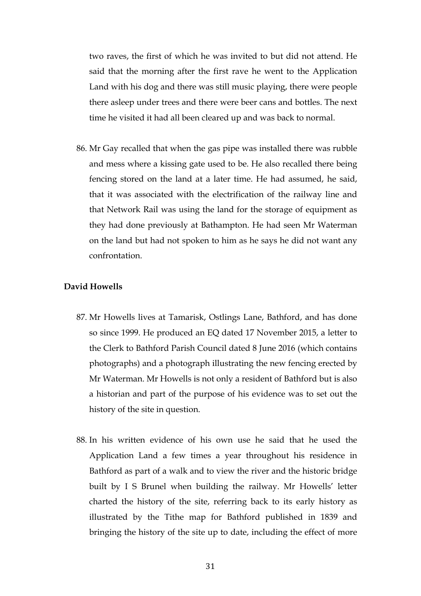two raves, the first of which he was invited to but did not attend. He said that the morning after the first rave he went to the Application Land with his dog and there was still music playing, there were people there asleep under trees and there were beer cans and bottles. The next time he visited it had all been cleared up and was back to normal.

86. Mr Gay recalled that when the gas pipe was installed there was rubble and mess where a kissing gate used to be. He also recalled there being fencing stored on the land at a later time. He had assumed, he said, that it was associated with the electrification of the railway line and that Network Rail was using the land for the storage of equipment as they had done previously at Bathampton. He had seen Mr Waterman on the land but had not spoken to him as he says he did not want any confrontation.

# **David Howells**

- 87. Mr Howells lives at Tamarisk, Ostlings Lane, Bathford, and has done so since 1999. He produced an EQ dated 17 November 2015, a letter to the Clerk to Bathford Parish Council dated 8 June 2016 (which contains photographs) and a photograph illustrating the new fencing erected by Mr Waterman. Mr Howells is not only a resident of Bathford but is also a historian and part of the purpose of his evidence was to set out the history of the site in question.
- 88. In his written evidence of his own use he said that he used the Application Land a few times a year throughout his residence in Bathford as part of a walk and to view the river and the historic bridge built by I S Brunel when building the railway. Mr Howells' letter charted the history of the site, referring back to its early history as illustrated by the Tithe map for Bathford published in 1839 and bringing the history of the site up to date, including the effect of more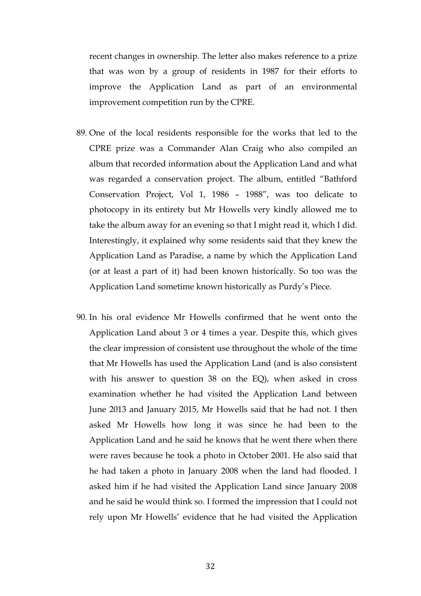recent changes in ownership. The letter also makes reference to a prize that was won by a group of residents in 1987 for their efforts to improve the Application Land as part of an environmental improvement competition run by the CPRE.

- 89. One of the local residents responsible for the works that led to the CPRE prize was a Commander Alan Craig who also compiled an album that recorded information about the Application Land and what was regarded a conservation project. The album, entitled "Bathford Conservation Project, Vol 1, 1986 – 1988", was too delicate to photocopy in its entirety but Mr Howells very kindly allowed me to take the album away for an evening so that I might read it, which I did. Interestingly, it explained why some residents said that they knew the Application Land as Paradise, a name by which the Application Land (or at least a part of it) had been known historically. So too was the Application Land sometime known historically as Purdy's Piece.
- 90. In his oral evidence Mr Howells confirmed that he went onto the Application Land about 3 or 4 times a year. Despite this, which gives the clear impression of consistent use throughout the whole of the time that Mr Howells has used the Application Land (and is also consistent with his answer to question 38 on the EQ), when asked in cross examination whether he had visited the Application Land between June 2013 and January 2015, Mr Howells said that he had not. I then asked Mr Howells how long it was since he had been to the Application Land and he said he knows that he went there when there were raves because he took a photo in October 2001. He also said that he had taken a photo in January 2008 when the land had flooded. I asked him if he had visited the Application Land since January 2008 and he said he would think so. I formed the impression that I could not rely upon Mr Howells' evidence that he had visited the Application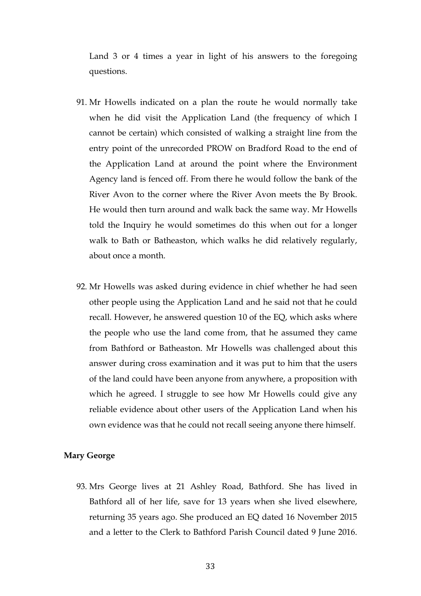Land 3 or 4 times a year in light of his answers to the foregoing questions.

- 91. Mr Howells indicated on a plan the route he would normally take when he did visit the Application Land (the frequency of which I cannot be certain) which consisted of walking a straight line from the entry point of the unrecorded PROW on Bradford Road to the end of the Application Land at around the point where the Environment Agency land is fenced off. From there he would follow the bank of the River Avon to the corner where the River Avon meets the By Brook. He would then turn around and walk back the same way. Mr Howells told the Inquiry he would sometimes do this when out for a longer walk to Bath or Batheaston, which walks he did relatively regularly, about once a month.
- 92. Mr Howells was asked during evidence in chief whether he had seen other people using the Application Land and he said not that he could recall. However, he answered question 10 of the EQ, which asks where the people who use the land come from, that he assumed they came from Bathford or Batheaston. Mr Howells was challenged about this answer during cross examination and it was put to him that the users of the land could have been anyone from anywhere, a proposition with which he agreed. I struggle to see how Mr Howells could give any reliable evidence about other users of the Application Land when his own evidence was that he could not recall seeing anyone there himself.

# **Mary George**

93. Mrs George lives at 21 Ashley Road, Bathford. She has lived in Bathford all of her life, save for 13 years when she lived elsewhere, returning 35 years ago. She produced an EQ dated 16 November 2015 and a letter to the Clerk to Bathford Parish Council dated 9 June 2016.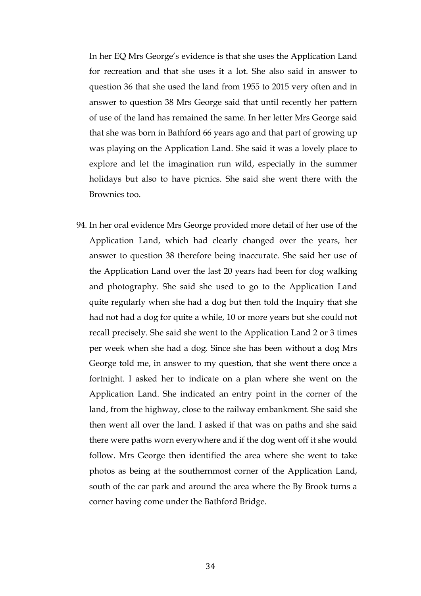In her EQ Mrs George's evidence is that she uses the Application Land for recreation and that she uses it a lot. She also said in answer to question 36 that she used the land from 1955 to 2015 very often and in answer to question 38 Mrs George said that until recently her pattern of use of the land has remained the same. In her letter Mrs George said that she was born in Bathford 66 years ago and that part of growing up was playing on the Application Land. She said it was a lovely place to explore and let the imagination run wild, especially in the summer holidays but also to have picnics. She said she went there with the Brownies too.

94. In her oral evidence Mrs George provided more detail of her use of the Application Land, which had clearly changed over the years, her answer to question 38 therefore being inaccurate. She said her use of the Application Land over the last 20 years had been for dog walking and photography. She said she used to go to the Application Land quite regularly when she had a dog but then told the Inquiry that she had not had a dog for quite a while, 10 or more years but she could not recall precisely. She said she went to the Application Land 2 or 3 times per week when she had a dog. Since she has been without a dog Mrs George told me, in answer to my question, that she went there once a fortnight. I asked her to indicate on a plan where she went on the Application Land. She indicated an entry point in the corner of the land, from the highway, close to the railway embankment. She said she then went all over the land. I asked if that was on paths and she said there were paths worn everywhere and if the dog went off it she would follow. Mrs George then identified the area where she went to take photos as being at the southernmost corner of the Application Land, south of the car park and around the area where the By Brook turns a corner having come under the Bathford Bridge.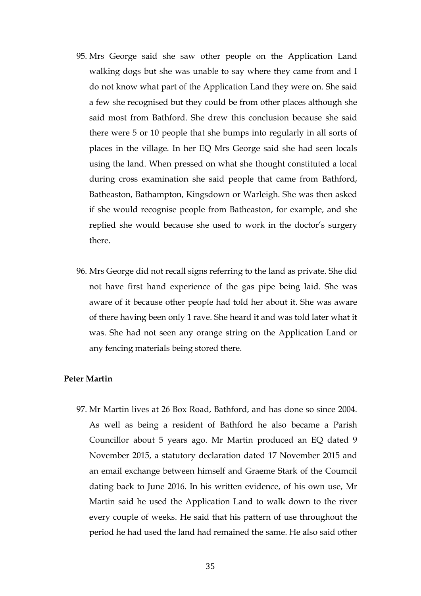- 95. Mrs George said she saw other people on the Application Land walking dogs but she was unable to say where they came from and I do not know what part of the Application Land they were on. She said a few she recognised but they could be from other places although she said most from Bathford. She drew this conclusion because she said there were 5 or 10 people that she bumps into regularly in all sorts of places in the village. In her EQ Mrs George said she had seen locals using the land. When pressed on what she thought constituted a local during cross examination she said people that came from Bathford, Batheaston, Bathampton, Kingsdown or Warleigh. She was then asked if she would recognise people from Batheaston, for example, and she replied she would because she used to work in the doctor's surgery there.
- 96. Mrs George did not recall signs referring to the land as private. She did not have first hand experience of the gas pipe being laid. She was aware of it because other people had told her about it. She was aware of there having been only 1 rave. She heard it and was told later what it was. She had not seen any orange string on the Application Land or any fencing materials being stored there.

# **Peter Martin**

97. Mr Martin lives at 26 Box Road, Bathford, and has done so since 2004. As well as being a resident of Bathford he also became a Parish Councillor about 5 years ago. Mr Martin produced an EQ dated 9 November 2015, a statutory declaration dated 17 November 2015 and an email exchange between himself and Graeme Stark of the Coumcil dating back to June 2016. In his written evidence, of his own use, Mr Martin said he used the Application Land to walk down to the river every couple of weeks. He said that his pattern of use throughout the period he had used the land had remained the same. He also said other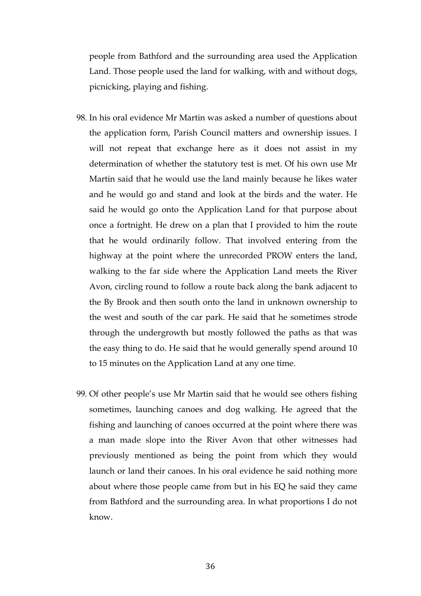people from Bathford and the surrounding area used the Application Land. Those people used the land for walking, with and without dogs, picnicking, playing and fishing.

- 98. In his oral evidence Mr Martin was asked a number of questions about the application form, Parish Council matters and ownership issues. I will not repeat that exchange here as it does not assist in my determination of whether the statutory test is met. Of his own use Mr Martin said that he would use the land mainly because he likes water and he would go and stand and look at the birds and the water. He said he would go onto the Application Land for that purpose about once a fortnight. He drew on a plan that I provided to him the route that he would ordinarily follow. That involved entering from the highway at the point where the unrecorded PROW enters the land, walking to the far side where the Application Land meets the River Avon, circling round to follow a route back along the bank adjacent to the By Brook and then south onto the land in unknown ownership to the west and south of the car park. He said that he sometimes strode through the undergrowth but mostly followed the paths as that was the easy thing to do. He said that he would generally spend around 10 to 15 minutes on the Application Land at any one time.
- 99. Of other people's use Mr Martin said that he would see others fishing sometimes, launching canoes and dog walking. He agreed that the fishing and launching of canoes occurred at the point where there was a man made slope into the River Avon that other witnesses had previously mentioned as being the point from which they would launch or land their canoes. In his oral evidence he said nothing more about where those people came from but in his EQ he said they came from Bathford and the surrounding area. In what proportions I do not know.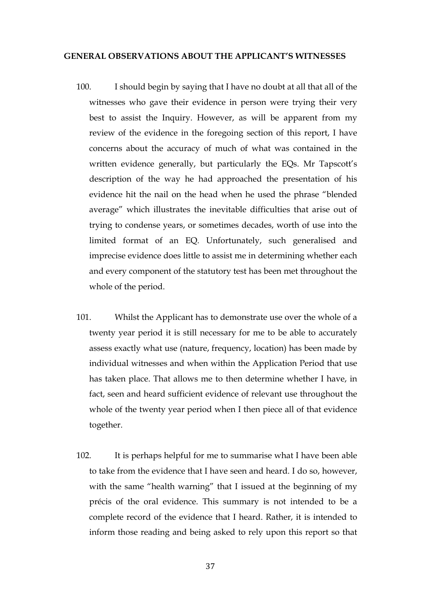#### **GENERAL OBSERVATIONS ABOUT THE APPLICANT'S WITNESSES**

- 100. I should begin by saying that I have no doubt at all that all of the witnesses who gave their evidence in person were trying their very best to assist the Inquiry. However, as will be apparent from my review of the evidence in the foregoing section of this report, I have concerns about the accuracy of much of what was contained in the written evidence generally, but particularly the EQs. Mr Tapscott's description of the way he had approached the presentation of his evidence hit the nail on the head when he used the phrase "blended average" which illustrates the inevitable difficulties that arise out of trying to condense years, or sometimes decades, worth of use into the limited format of an EQ. Unfortunately, such generalised and imprecise evidence does little to assist me in determining whether each and every component of the statutory test has been met throughout the whole of the period.
- 101. Whilst the Applicant has to demonstrate use over the whole of a twenty year period it is still necessary for me to be able to accurately assess exactly what use (nature, frequency, location) has been made by individual witnesses and when within the Application Period that use has taken place. That allows me to then determine whether I have, in fact, seen and heard sufficient evidence of relevant use throughout the whole of the twenty year period when I then piece all of that evidence together.
- 102. It is perhaps helpful for me to summarise what I have been able to take from the evidence that I have seen and heard. I do so, however, with the same "health warning" that I issued at the beginning of my précis of the oral evidence. This summary is not intended to be a complete record of the evidence that I heard. Rather, it is intended to inform those reading and being asked to rely upon this report so that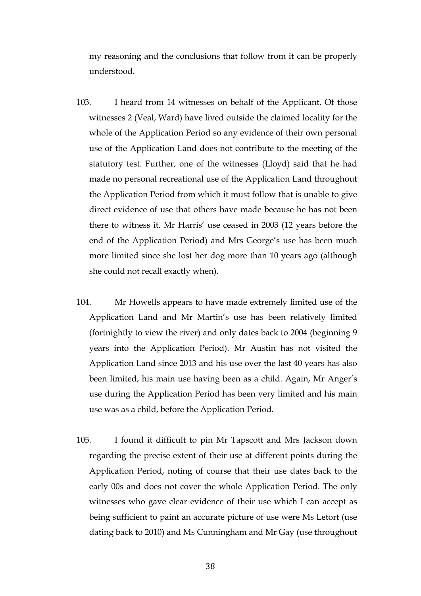my reasoning and the conclusions that follow from it can be properly understood.

- 103. I heard from 14 witnesses on behalf of the Applicant. Of those witnesses 2 (Veal, Ward) have lived outside the claimed locality for the whole of the Application Period so any evidence of their own personal use of the Application Land does not contribute to the meeting of the statutory test. Further, one of the witnesses (Lloyd) said that he had made no personal recreational use of the Application Land throughout the Application Period from which it must follow that is unable to give direct evidence of use that others have made because he has not been there to witness it. Mr Harris' use ceased in 2003 (12 years before the end of the Application Period) and Mrs George's use has been much more limited since she lost her dog more than 10 years ago (although she could not recall exactly when).
- 104. Mr Howells appears to have made extremely limited use of the Application Land and Mr Martin's use has been relatively limited (fortnightly to view the river) and only dates back to 2004 (beginning 9 years into the Application Period). Mr Austin has not visited the Application Land since 2013 and his use over the last 40 years has also been limited, his main use having been as a child. Again, Mr Anger's use during the Application Period has been very limited and his main use was as a child, before the Application Period.
- 105. I found it difficult to pin Mr Tapscott and Mrs Jackson down regarding the precise extent of their use at different points during the Application Period, noting of course that their use dates back to the early 00s and does not cover the whole Application Period. The only witnesses who gave clear evidence of their use which I can accept as being sufficient to paint an accurate picture of use were Ms Letort (use dating back to 2010) and Ms Cunningham and Mr Gay (use throughout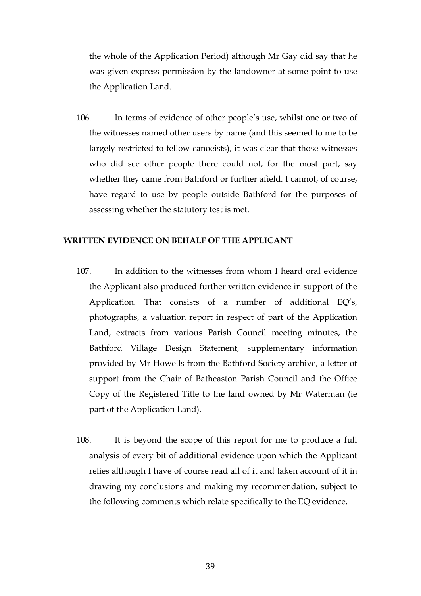the whole of the Application Period) although Mr Gay did say that he was given express permission by the landowner at some point to use the Application Land.

106. In terms of evidence of other people's use, whilst one or two of the witnesses named other users by name (and this seemed to me to be largely restricted to fellow canoeists), it was clear that those witnesses who did see other people there could not, for the most part, say whether they came from Bathford or further afield. I cannot, of course, have regard to use by people outside Bathford for the purposes of assessing whether the statutory test is met.

#### **WRITTEN EVIDENCE ON BEHALF OF THE APPLICANT**

- 107. In addition to the witnesses from whom I heard oral evidence the Applicant also produced further written evidence in support of the Application. That consists of a number of additional EQ's, photographs, a valuation report in respect of part of the Application Land, extracts from various Parish Council meeting minutes, the Bathford Village Design Statement, supplementary information provided by Mr Howells from the Bathford Society archive, a letter of support from the Chair of Batheaston Parish Council and the Office Copy of the Registered Title to the land owned by Mr Waterman (ie part of the Application Land).
- 108. It is beyond the scope of this report for me to produce a full analysis of every bit of additional evidence upon which the Applicant relies although I have of course read all of it and taken account of it in drawing my conclusions and making my recommendation, subject to the following comments which relate specifically to the EQ evidence.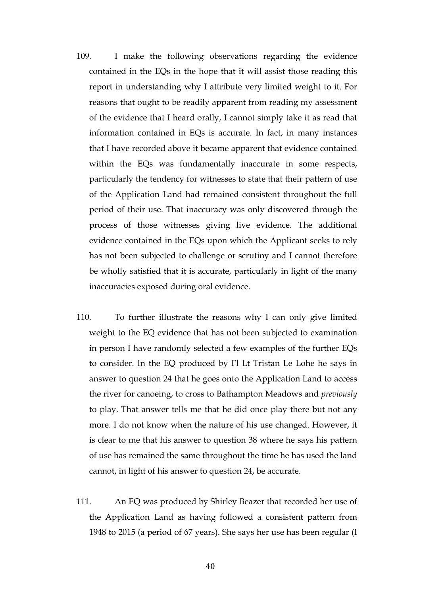- 109. I make the following observations regarding the evidence contained in the EQs in the hope that it will assist those reading this report in understanding why I attribute very limited weight to it. For reasons that ought to be readily apparent from reading my assessment of the evidence that I heard orally, I cannot simply take it as read that information contained in EQs is accurate. In fact, in many instances that I have recorded above it became apparent that evidence contained within the EQs was fundamentally inaccurate in some respects, particularly the tendency for witnesses to state that their pattern of use of the Application Land had remained consistent throughout the full period of their use. That inaccuracy was only discovered through the process of those witnesses giving live evidence. The additional evidence contained in the EQs upon which the Applicant seeks to rely has not been subjected to challenge or scrutiny and I cannot therefore be wholly satisfied that it is accurate, particularly in light of the many inaccuracies exposed during oral evidence.
- 110. To further illustrate the reasons why I can only give limited weight to the EQ evidence that has not been subjected to examination in person I have randomly selected a few examples of the further EQs to consider. In the EQ produced by Fl Lt Tristan Le Lohe he says in answer to question 24 that he goes onto the Application Land to access the river for canoeing, to cross to Bathampton Meadows and *previously* to play. That answer tells me that he did once play there but not any more. I do not know when the nature of his use changed. However, it is clear to me that his answer to question 38 where he says his pattern of use has remained the same throughout the time he has used the land cannot, in light of his answer to question 24, be accurate.
- 111. An EQ was produced by Shirley Beazer that recorded her use of the Application Land as having followed a consistent pattern from 1948 to 2015 (a period of 67 years). She says her use has been regular (I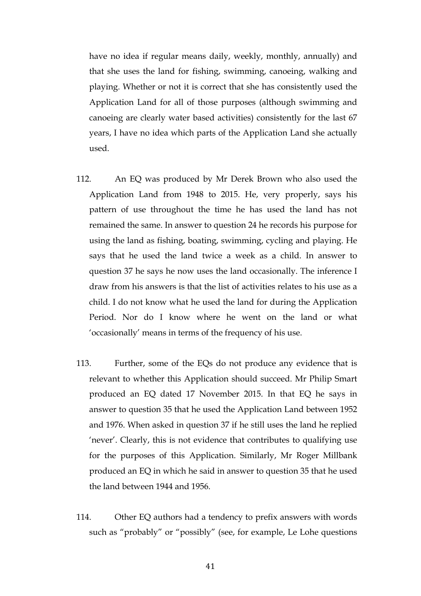have no idea if regular means daily, weekly, monthly, annually) and that she uses the land for fishing, swimming, canoeing, walking and playing. Whether or not it is correct that she has consistently used the Application Land for all of those purposes (although swimming and canoeing are clearly water based activities) consistently for the last 67 years, I have no idea which parts of the Application Land she actually used.

- 112. An EQ was produced by Mr Derek Brown who also used the Application Land from 1948 to 2015. He, very properly, says his pattern of use throughout the time he has used the land has not remained the same. In answer to question 24 he records his purpose for using the land as fishing, boating, swimming, cycling and playing. He says that he used the land twice a week as a child. In answer to question 37 he says he now uses the land occasionally. The inference I draw from his answers is that the list of activities relates to his use as a child. I do not know what he used the land for during the Application Period. Nor do I know where he went on the land or what 'occasionally' means in terms of the frequency of his use.
- 113. Further, some of the EQs do not produce any evidence that is relevant to whether this Application should succeed. Mr Philip Smart produced an EQ dated 17 November 2015. In that EQ he says in answer to question 35 that he used the Application Land between 1952 and 1976. When asked in question 37 if he still uses the land he replied 'never'. Clearly, this is not evidence that contributes to qualifying use for the purposes of this Application. Similarly, Mr Roger Millbank produced an EQ in which he said in answer to question 35 that he used the land between 1944 and 1956.
- 114. Other EQ authors had a tendency to prefix answers with words such as "probably" or "possibly" (see, for example, Le Lohe questions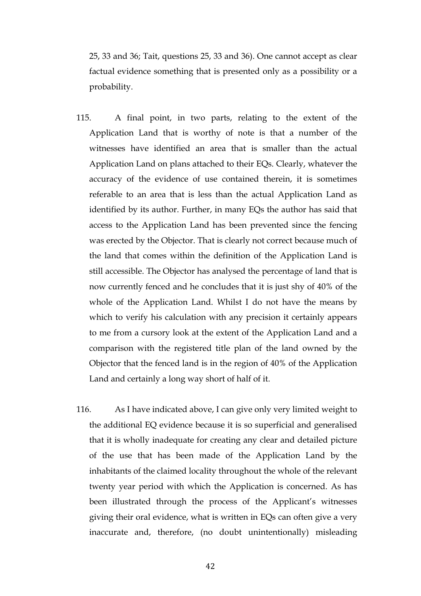25, 33 and 36; Tait, questions 25, 33 and 36). One cannot accept as clear factual evidence something that is presented only as a possibility or a probability.

- 115. A final point, in two parts, relating to the extent of the Application Land that is worthy of note is that a number of the witnesses have identified an area that is smaller than the actual Application Land on plans attached to their EQs. Clearly, whatever the accuracy of the evidence of use contained therein, it is sometimes referable to an area that is less than the actual Application Land as identified by its author. Further, in many EQs the author has said that access to the Application Land has been prevented since the fencing was erected by the Objector. That is clearly not correct because much of the land that comes within the definition of the Application Land is still accessible. The Objector has analysed the percentage of land that is now currently fenced and he concludes that it is just shy of 40% of the whole of the Application Land. Whilst I do not have the means by which to verify his calculation with any precision it certainly appears to me from a cursory look at the extent of the Application Land and a comparison with the registered title plan of the land owned by the Objector that the fenced land is in the region of 40% of the Application Land and certainly a long way short of half of it.
- 116. As I have indicated above, I can give only very limited weight to the additional EQ evidence because it is so superficial and generalised that it is wholly inadequate for creating any clear and detailed picture of the use that has been made of the Application Land by the inhabitants of the claimed locality throughout the whole of the relevant twenty year period with which the Application is concerned. As has been illustrated through the process of the Applicant's witnesses giving their oral evidence, what is written in EQs can often give a very inaccurate and, therefore, (no doubt unintentionally) misleading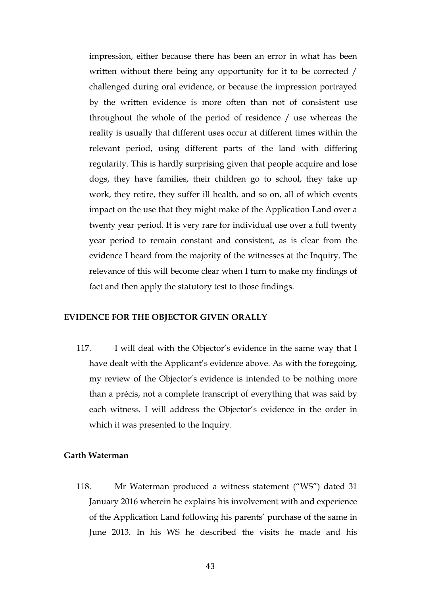impression, either because there has been an error in what has been written without there being any opportunity for it to be corrected / challenged during oral evidence, or because the impression portrayed by the written evidence is more often than not of consistent use throughout the whole of the period of residence / use whereas the reality is usually that different uses occur at different times within the relevant period, using different parts of the land with differing regularity. This is hardly surprising given that people acquire and lose dogs, they have families, their children go to school, they take up work, they retire, they suffer ill health, and so on, all of which events impact on the use that they might make of the Application Land over a twenty year period. It is very rare for individual use over a full twenty year period to remain constant and consistent, as is clear from the evidence I heard from the majority of the witnesses at the Inquiry. The relevance of this will become clear when I turn to make my findings of fact and then apply the statutory test to those findings.

# **EVIDENCE FOR THE OBJECTOR GIVEN ORALLY**

117. I will deal with the Objector's evidence in the same way that I have dealt with the Applicant's evidence above. As with the foregoing, my review of the Objector's evidence is intended to be nothing more than a précis, not a complete transcript of everything that was said by each witness. I will address the Objector's evidence in the order in which it was presented to the Inquiry.

# **Garth Waterman**

118. Mr Waterman produced a witness statement ("WS") dated 31 January 2016 wherein he explains his involvement with and experience of the Application Land following his parents' purchase of the same in June 2013. In his WS he described the visits he made and his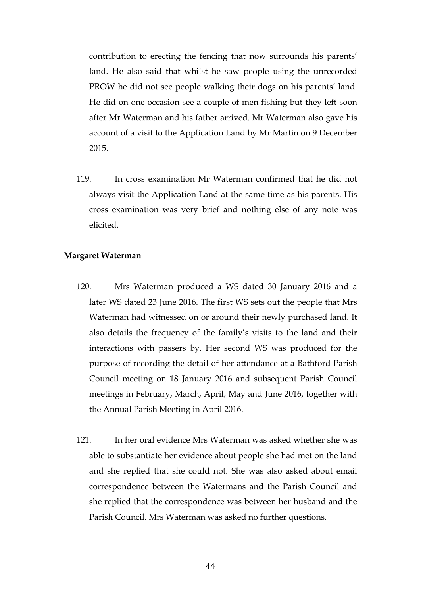contribution to erecting the fencing that now surrounds his parents' land. He also said that whilst he saw people using the unrecorded PROW he did not see people walking their dogs on his parents' land. He did on one occasion see a couple of men fishing but they left soon after Mr Waterman and his father arrived. Mr Waterman also gave his account of a visit to the Application Land by Mr Martin on 9 December 2015.

119. In cross examination Mr Waterman confirmed that he did not always visit the Application Land at the same time as his parents. His cross examination was very brief and nothing else of any note was elicited.

#### **Margaret Waterman**

- 120. Mrs Waterman produced a WS dated 30 January 2016 and a later WS dated 23 June 2016. The first WS sets out the people that Mrs Waterman had witnessed on or around their newly purchased land. It also details the frequency of the family's visits to the land and their interactions with passers by. Her second WS was produced for the purpose of recording the detail of her attendance at a Bathford Parish Council meeting on 18 January 2016 and subsequent Parish Council meetings in February, March, April, May and June 2016, together with the Annual Parish Meeting in April 2016.
- 121. In her oral evidence Mrs Waterman was asked whether she was able to substantiate her evidence about people she had met on the land and she replied that she could not. She was also asked about email correspondence between the Watermans and the Parish Council and she replied that the correspondence was between her husband and the Parish Council. Mrs Waterman was asked no further questions.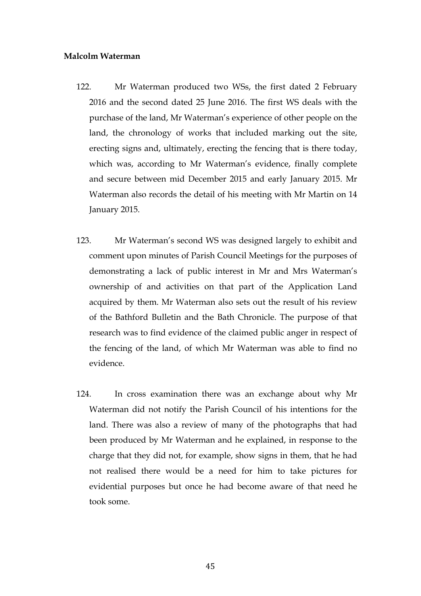# **Malcolm Waterman**

- 122. Mr Waterman produced two WSs, the first dated 2 February 2016 and the second dated 25 June 2016. The first WS deals with the purchase of the land, Mr Waterman's experience of other people on the land, the chronology of works that included marking out the site, erecting signs and, ultimately, erecting the fencing that is there today, which was, according to Mr Waterman's evidence, finally complete and secure between mid December 2015 and early January 2015. Mr Waterman also records the detail of his meeting with Mr Martin on 14 January 2015.
- 123. Mr Waterman's second WS was designed largely to exhibit and comment upon minutes of Parish Council Meetings for the purposes of demonstrating a lack of public interest in Mr and Mrs Waterman's ownership of and activities on that part of the Application Land acquired by them. Mr Waterman also sets out the result of his review of the Bathford Bulletin and the Bath Chronicle. The purpose of that research was to find evidence of the claimed public anger in respect of the fencing of the land, of which Mr Waterman was able to find no evidence.
- 124. In cross examination there was an exchange about why Mr Waterman did not notify the Parish Council of his intentions for the land. There was also a review of many of the photographs that had been produced by Mr Waterman and he explained, in response to the charge that they did not, for example, show signs in them, that he had not realised there would be a need for him to take pictures for evidential purposes but once he had become aware of that need he took some.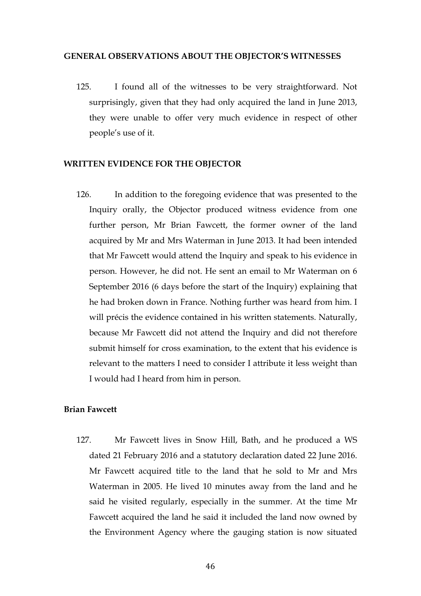#### **GENERAL OBSERVATIONS ABOUT THE OBJECTOR'S WITNESSES**

125. I found all of the witnesses to be very straightforward. Not surprisingly, given that they had only acquired the land in June 2013, they were unable to offer very much evidence in respect of other people's use of it.

#### **WRITTEN EVIDENCE FOR THE OBJECTOR**

126. In addition to the foregoing evidence that was presented to the Inquiry orally, the Objector produced witness evidence from one further person, Mr Brian Fawcett, the former owner of the land acquired by Mr and Mrs Waterman in June 2013. It had been intended that Mr Fawcett would attend the Inquiry and speak to his evidence in person. However, he did not. He sent an email to Mr Waterman on 6 September 2016 (6 days before the start of the Inquiry) explaining that he had broken down in France. Nothing further was heard from him. I will précis the evidence contained in his written statements. Naturally, because Mr Fawcett did not attend the Inquiry and did not therefore submit himself for cross examination, to the extent that his evidence is relevant to the matters I need to consider I attribute it less weight than I would had I heard from him in person.

# **Brian Fawcett**

127. Mr Fawcett lives in Snow Hill, Bath, and he produced a WS dated 21 February 2016 and a statutory declaration dated 22 June 2016. Mr Fawcett acquired title to the land that he sold to Mr and Mrs Waterman in 2005. He lived 10 minutes away from the land and he said he visited regularly, especially in the summer. At the time Mr Fawcett acquired the land he said it included the land now owned by the Environment Agency where the gauging station is now situated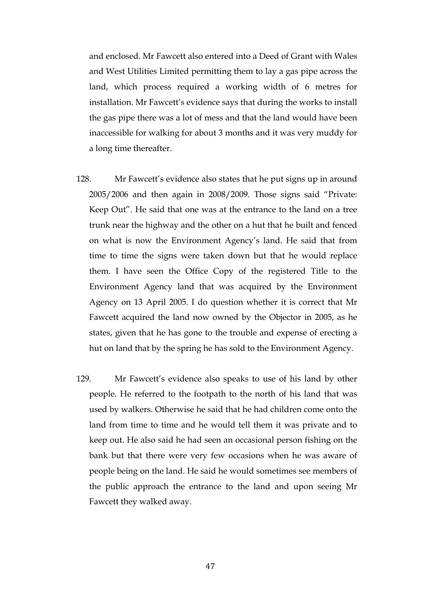and enclosed. Mr Fawcett also entered into a Deed of Grant with Wales and West Utilities Limited permitting them to lay a gas pipe across the land, which process required a working width of 6 metres for installation. Mr Fawcett's evidence says that during the works to install the gas pipe there was a lot of mess and that the land would have been inaccessible for walking for about 3 months and it was very muddy for a long time thereafter.

- 128. Mr Fawcett's evidence also states that he put signs up in around 2005/2006 and then again in 2008/2009. Those signs said "Private: Keep Out". He said that one was at the entrance to the land on a tree trunk near the highway and the other on a hut that he built and fenced on what is now the Environment Agency's land. He said that from time to time the signs were taken down but that he would replace them. I have seen the Office Copy of the registered Title to the Environment Agency land that was acquired by the Environment Agency on 13 April 2005. I do question whether it is correct that Mr Fawcett acquired the land now owned by the Objector in 2005, as he states, given that he has gone to the trouble and expense of erecting a hut on land that by the spring he has sold to the Environment Agency.
- 129. Mr Fawcett's evidence also speaks to use of his land by other people. He referred to the footpath to the north of his land that was used by walkers. Otherwise he said that he had children come onto the land from time to time and he would tell them it was private and to keep out. He also said he had seen an occasional person fishing on the bank but that there were very few occasions when he was aware of people being on the land. He said he would sometimes see members of the public approach the entrance to the land and upon seeing Mr Fawcett they walked away.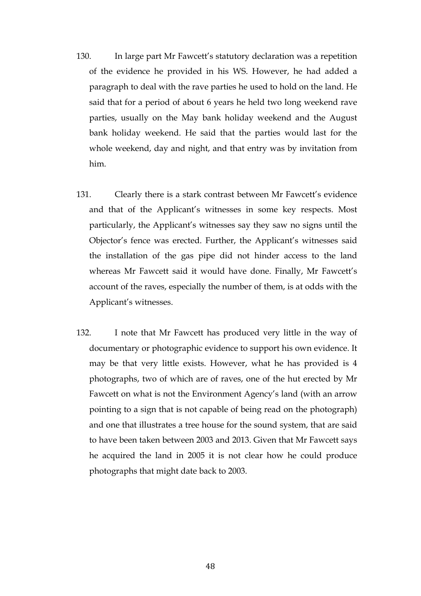- 130. In large part Mr Fawcett's statutory declaration was a repetition of the evidence he provided in his WS. However, he had added a paragraph to deal with the rave parties he used to hold on the land. He said that for a period of about 6 years he held two long weekend rave parties, usually on the May bank holiday weekend and the August bank holiday weekend. He said that the parties would last for the whole weekend, day and night, and that entry was by invitation from him.
- 131. Clearly there is a stark contrast between Mr Fawcett's evidence and that of the Applicant's witnesses in some key respects. Most particularly, the Applicant's witnesses say they saw no signs until the Objector's fence was erected. Further, the Applicant's witnesses said the installation of the gas pipe did not hinder access to the land whereas Mr Fawcett said it would have done. Finally, Mr Fawcett's account of the raves, especially the number of them, is at odds with the Applicant's witnesses.
- 132. I note that Mr Fawcett has produced very little in the way of documentary or photographic evidence to support his own evidence. It may be that very little exists. However, what he has provided is 4 photographs, two of which are of raves, one of the hut erected by Mr Fawcett on what is not the Environment Agency's land (with an arrow pointing to a sign that is not capable of being read on the photograph) and one that illustrates a tree house for the sound system, that are said to have been taken between 2003 and 2013. Given that Mr Fawcett says he acquired the land in 2005 it is not clear how he could produce photographs that might date back to 2003.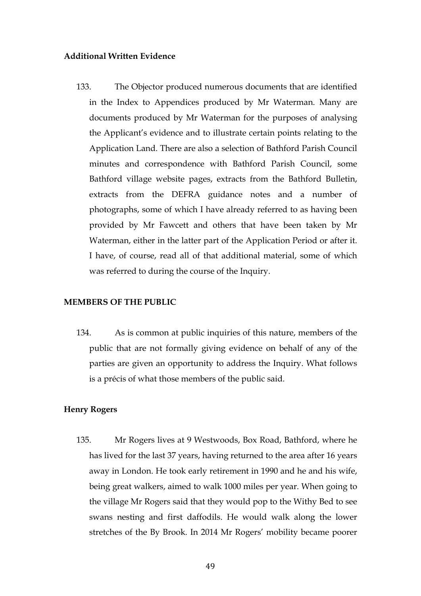# **Additional Written Evidence**

133. The Objector produced numerous documents that are identified in the Index to Appendices produced by Mr Waterman. Many are documents produced by Mr Waterman for the purposes of analysing the Applicant's evidence and to illustrate certain points relating to the Application Land. There are also a selection of Bathford Parish Council minutes and correspondence with Bathford Parish Council, some Bathford village website pages, extracts from the Bathford Bulletin, extracts from the DEFRA guidance notes and a number of photographs, some of which I have already referred to as having been provided by Mr Fawcett and others that have been taken by Mr Waterman, either in the latter part of the Application Period or after it. I have, of course, read all of that additional material, some of which was referred to during the course of the Inquiry.

### **MEMBERS OF THE PUBLIC**

134. As is common at public inquiries of this nature, members of the public that are not formally giving evidence on behalf of any of the parties are given an opportunity to address the Inquiry. What follows is a précis of what those members of the public said.

# **Henry Rogers**

135. Mr Rogers lives at 9 Westwoods, Box Road, Bathford, where he has lived for the last 37 years, having returned to the area after 16 years away in London. He took early retirement in 1990 and he and his wife, being great walkers, aimed to walk 1000 miles per year. When going to the village Mr Rogers said that they would pop to the Withy Bed to see swans nesting and first daffodils. He would walk along the lower stretches of the By Brook. In 2014 Mr Rogers' mobility became poorer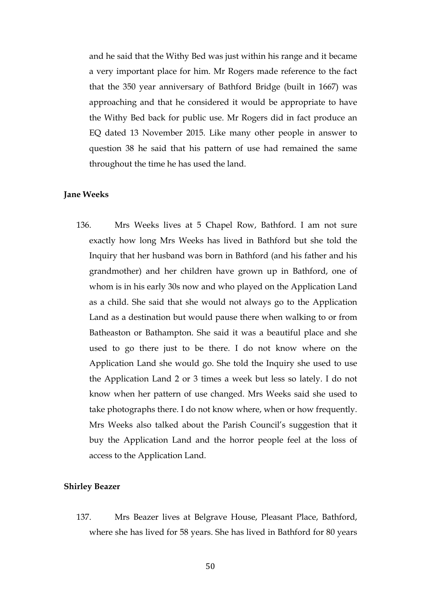and he said that the Withy Bed was just within his range and it became a very important place for him. Mr Rogers made reference to the fact that the 350 year anniversary of Bathford Bridge (built in 1667) was approaching and that he considered it would be appropriate to have the Withy Bed back for public use. Mr Rogers did in fact produce an EQ dated 13 November 2015. Like many other people in answer to question 38 he said that his pattern of use had remained the same throughout the time he has used the land.

#### **Jane Weeks**

136. Mrs Weeks lives at 5 Chapel Row, Bathford. I am not sure exactly how long Mrs Weeks has lived in Bathford but she told the Inquiry that her husband was born in Bathford (and his father and his grandmother) and her children have grown up in Bathford, one of whom is in his early 30s now and who played on the Application Land as a child. She said that she would not always go to the Application Land as a destination but would pause there when walking to or from Batheaston or Bathampton. She said it was a beautiful place and she used to go there just to be there. I do not know where on the Application Land she would go. She told the Inquiry she used to use the Application Land 2 or 3 times a week but less so lately. I do not know when her pattern of use changed. Mrs Weeks said she used to take photographs there. I do not know where, when or how frequently. Mrs Weeks also talked about the Parish Council's suggestion that it buy the Application Land and the horror people feel at the loss of access to the Application Land.

#### **Shirley Beazer**

137. Mrs Beazer lives at Belgrave House, Pleasant Place, Bathford, where she has lived for 58 years. She has lived in Bathford for 80 years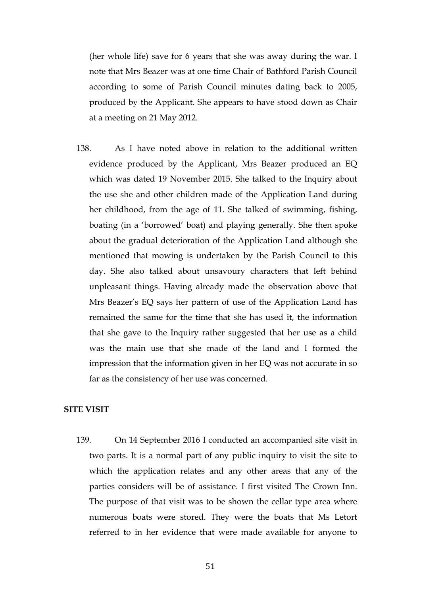(her whole life) save for 6 years that she was away during the war. I note that Mrs Beazer was at one time Chair of Bathford Parish Council according to some of Parish Council minutes dating back to 2005, produced by the Applicant. She appears to have stood down as Chair at a meeting on 21 May 2012.

138. As I have noted above in relation to the additional written evidence produced by the Applicant, Mrs Beazer produced an EQ which was dated 19 November 2015. She talked to the Inquiry about the use she and other children made of the Application Land during her childhood, from the age of 11. She talked of swimming, fishing, boating (in a 'borrowed' boat) and playing generally. She then spoke about the gradual deterioration of the Application Land although she mentioned that mowing is undertaken by the Parish Council to this day. She also talked about unsavoury characters that left behind unpleasant things. Having already made the observation above that Mrs Beazer's EQ says her pattern of use of the Application Land has remained the same for the time that she has used it, the information that she gave to the Inquiry rather suggested that her use as a child was the main use that she made of the land and I formed the impression that the information given in her EQ was not accurate in so far as the consistency of her use was concerned.

# **SITE VISIT**

139. On 14 September 2016 I conducted an accompanied site visit in two parts. It is a normal part of any public inquiry to visit the site to which the application relates and any other areas that any of the parties considers will be of assistance. I first visited The Crown Inn. The purpose of that visit was to be shown the cellar type area where numerous boats were stored. They were the boats that Ms Letort referred to in her evidence that were made available for anyone to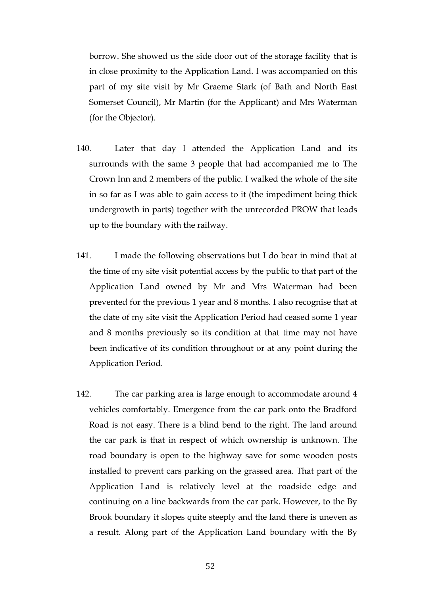borrow. She showed us the side door out of the storage facility that is in close proximity to the Application Land. I was accompanied on this part of my site visit by Mr Graeme Stark (of Bath and North East Somerset Council), Mr Martin (for the Applicant) and Mrs Waterman (for the Objector).

- 140. Later that day I attended the Application Land and its surrounds with the same 3 people that had accompanied me to The Crown Inn and 2 members of the public. I walked the whole of the site in so far as I was able to gain access to it (the impediment being thick undergrowth in parts) together with the unrecorded PROW that leads up to the boundary with the railway.
- 141. I made the following observations but I do bear in mind that at the time of my site visit potential access by the public to that part of the Application Land owned by Mr and Mrs Waterman had been prevented for the previous 1 year and 8 months. I also recognise that at the date of my site visit the Application Period had ceased some 1 year and 8 months previously so its condition at that time may not have been indicative of its condition throughout or at any point during the Application Period.
- 142. The car parking area is large enough to accommodate around 4 vehicles comfortably. Emergence from the car park onto the Bradford Road is not easy. There is a blind bend to the right. The land around the car park is that in respect of which ownership is unknown. The road boundary is open to the highway save for some wooden posts installed to prevent cars parking on the grassed area. That part of the Application Land is relatively level at the roadside edge and continuing on a line backwards from the car park. However, to the By Brook boundary it slopes quite steeply and the land there is uneven as a result. Along part of the Application Land boundary with the By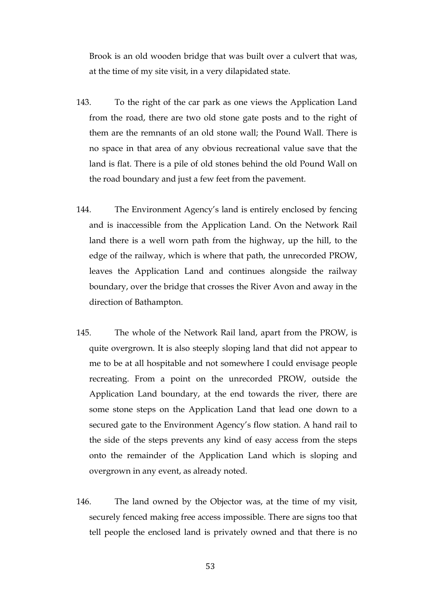Brook is an old wooden bridge that was built over a culvert that was, at the time of my site visit, in a very dilapidated state.

- 143. To the right of the car park as one views the Application Land from the road, there are two old stone gate posts and to the right of them are the remnants of an old stone wall; the Pound Wall. There is no space in that area of any obvious recreational value save that the land is flat. There is a pile of old stones behind the old Pound Wall on the road boundary and just a few feet from the pavement.
- 144. The Environment Agency's land is entirely enclosed by fencing and is inaccessible from the Application Land. On the Network Rail land there is a well worn path from the highway, up the hill, to the edge of the railway, which is where that path, the unrecorded PROW, leaves the Application Land and continues alongside the railway boundary, over the bridge that crosses the River Avon and away in the direction of Bathampton.
- 145. The whole of the Network Rail land, apart from the PROW, is quite overgrown. It is also steeply sloping land that did not appear to me to be at all hospitable and not somewhere I could envisage people recreating. From a point on the unrecorded PROW, outside the Application Land boundary, at the end towards the river, there are some stone steps on the Application Land that lead one down to a secured gate to the Environment Agency's flow station. A hand rail to the side of the steps prevents any kind of easy access from the steps onto the remainder of the Application Land which is sloping and overgrown in any event, as already noted.
- 146. The land owned by the Objector was, at the time of my visit, securely fenced making free access impossible. There are signs too that tell people the enclosed land is privately owned and that there is no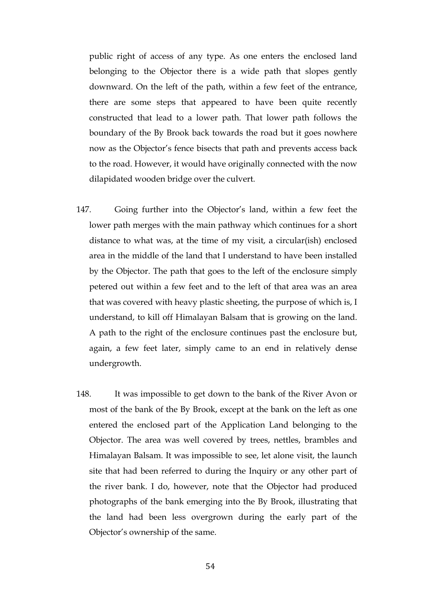public right of access of any type. As one enters the enclosed land belonging to the Objector there is a wide path that slopes gently downward. On the left of the path, within a few feet of the entrance, there are some steps that appeared to have been quite recently constructed that lead to a lower path. That lower path follows the boundary of the By Brook back towards the road but it goes nowhere now as the Objector's fence bisects that path and prevents access back to the road. However, it would have originally connected with the now dilapidated wooden bridge over the culvert.

- 147. Going further into the Objector's land, within a few feet the lower path merges with the main pathway which continues for a short distance to what was, at the time of my visit, a circular(ish) enclosed area in the middle of the land that I understand to have been installed by the Objector. The path that goes to the left of the enclosure simply petered out within a few feet and to the left of that area was an area that was covered with heavy plastic sheeting, the purpose of which is, I understand, to kill off Himalayan Balsam that is growing on the land. A path to the right of the enclosure continues past the enclosure but, again, a few feet later, simply came to an end in relatively dense undergrowth.
- 148. It was impossible to get down to the bank of the River Avon or most of the bank of the By Brook, except at the bank on the left as one entered the enclosed part of the Application Land belonging to the Objector. The area was well covered by trees, nettles, brambles and Himalayan Balsam. It was impossible to see, let alone visit, the launch site that had been referred to during the Inquiry or any other part of the river bank. I do, however, note that the Objector had produced photographs of the bank emerging into the By Brook, illustrating that the land had been less overgrown during the early part of the Objector's ownership of the same.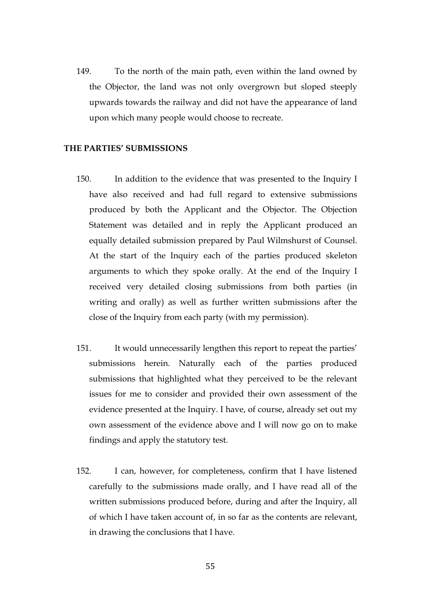149. To the north of the main path, even within the land owned by the Objector, the land was not only overgrown but sloped steeply upwards towards the railway and did not have the appearance of land upon which many people would choose to recreate.

# **THE PARTIES' SUBMISSIONS**

- 150. In addition to the evidence that was presented to the Inquiry I have also received and had full regard to extensive submissions produced by both the Applicant and the Objector. The Objection Statement was detailed and in reply the Applicant produced an equally detailed submission prepared by Paul Wilmshurst of Counsel. At the start of the Inquiry each of the parties produced skeleton arguments to which they spoke orally. At the end of the Inquiry I received very detailed closing submissions from both parties (in writing and orally) as well as further written submissions after the close of the Inquiry from each party (with my permission).
- 151. It would unnecessarily lengthen this report to repeat the parties' submissions herein. Naturally each of the parties produced submissions that highlighted what they perceived to be the relevant issues for me to consider and provided their own assessment of the evidence presented at the Inquiry. I have, of course, already set out my own assessment of the evidence above and I will now go on to make findings and apply the statutory test.
- 152. I can, however, for completeness, confirm that I have listened carefully to the submissions made orally, and I have read all of the written submissions produced before, during and after the Inquiry, all of which I have taken account of, in so far as the contents are relevant, in drawing the conclusions that I have.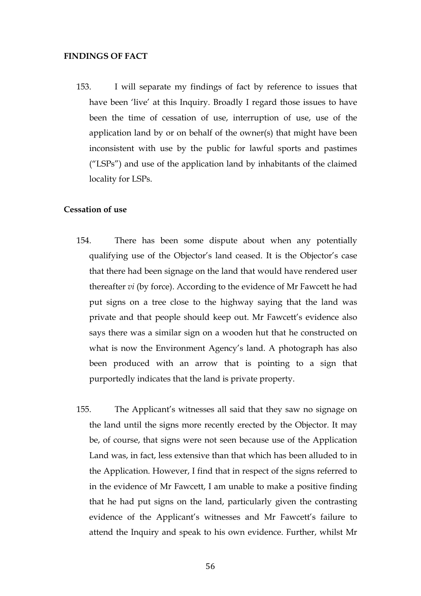#### **FINDINGS OF FACT**

153. I will separate my findings of fact by reference to issues that have been 'live' at this Inquiry. Broadly I regard those issues to have been the time of cessation of use, interruption of use, use of the application land by or on behalf of the owner(s) that might have been inconsistent with use by the public for lawful sports and pastimes ("LSPs") and use of the application land by inhabitants of the claimed locality for LSPs.

# **Cessation of use**

- 154. There has been some dispute about when any potentially qualifying use of the Objector's land ceased. It is the Objector's case that there had been signage on the land that would have rendered user thereafter *vi* (by force). According to the evidence of Mr Fawcett he had put signs on a tree close to the highway saying that the land was private and that people should keep out. Mr Fawcett's evidence also says there was a similar sign on a wooden hut that he constructed on what is now the Environment Agency's land. A photograph has also been produced with an arrow that is pointing to a sign that purportedly indicates that the land is private property.
- 155. The Applicant's witnesses all said that they saw no signage on the land until the signs more recently erected by the Objector. It may be, of course, that signs were not seen because use of the Application Land was, in fact, less extensive than that which has been alluded to in the Application. However, I find that in respect of the signs referred to in the evidence of Mr Fawcett, I am unable to make a positive finding that he had put signs on the land, particularly given the contrasting evidence of the Applicant's witnesses and Mr Fawcett's failure to attend the Inquiry and speak to his own evidence. Further, whilst Mr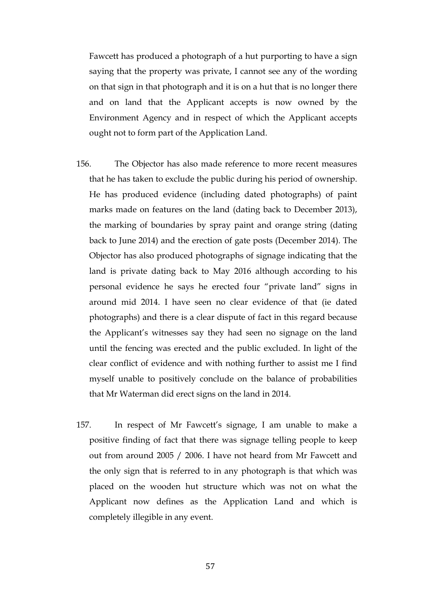Fawcett has produced a photograph of a hut purporting to have a sign saying that the property was private, I cannot see any of the wording on that sign in that photograph and it is on a hut that is no longer there and on land that the Applicant accepts is now owned by the Environment Agency and in respect of which the Applicant accepts ought not to form part of the Application Land.

- 156. The Objector has also made reference to more recent measures that he has taken to exclude the public during his period of ownership. He has produced evidence (including dated photographs) of paint marks made on features on the land (dating back to December 2013), the marking of boundaries by spray paint and orange string (dating back to June 2014) and the erection of gate posts (December 2014). The Objector has also produced photographs of signage indicating that the land is private dating back to May 2016 although according to his personal evidence he says he erected four "private land" signs in around mid 2014. I have seen no clear evidence of that (ie dated photographs) and there is a clear dispute of fact in this regard because the Applicant's witnesses say they had seen no signage on the land until the fencing was erected and the public excluded. In light of the clear conflict of evidence and with nothing further to assist me I find myself unable to positively conclude on the balance of probabilities that Mr Waterman did erect signs on the land in 2014.
- 157. In respect of Mr Fawcett's signage, I am unable to make a positive finding of fact that there was signage telling people to keep out from around 2005 / 2006. I have not heard from Mr Fawcett and the only sign that is referred to in any photograph is that which was placed on the wooden hut structure which was not on what the Applicant now defines as the Application Land and which is completely illegible in any event.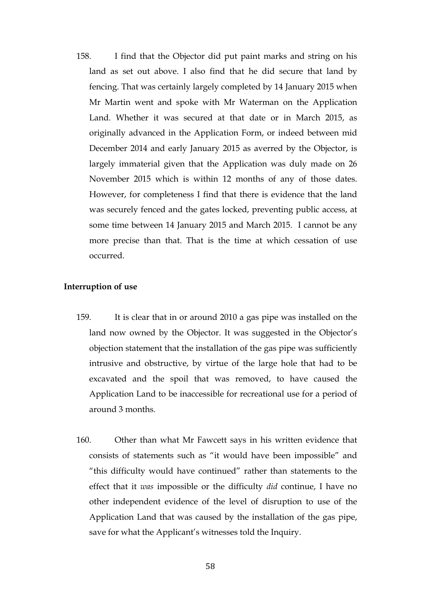158. I find that the Objector did put paint marks and string on his land as set out above. I also find that he did secure that land by fencing. That was certainly largely completed by 14 January 2015 when Mr Martin went and spoke with Mr Waterman on the Application Land. Whether it was secured at that date or in March 2015, as originally advanced in the Application Form, or indeed between mid December 2014 and early January 2015 as averred by the Objector, is largely immaterial given that the Application was duly made on 26 November 2015 which is within 12 months of any of those dates. However, for completeness I find that there is evidence that the land was securely fenced and the gates locked, preventing public access, at some time between 14 January 2015 and March 2015. I cannot be any more precise than that. That is the time at which cessation of use occurred.

# **Interruption of use**

- 159. It is clear that in or around 2010 a gas pipe was installed on the land now owned by the Objector. It was suggested in the Objector's objection statement that the installation of the gas pipe was sufficiently intrusive and obstructive, by virtue of the large hole that had to be excavated and the spoil that was removed, to have caused the Application Land to be inaccessible for recreational use for a period of around 3 months.
- 160. Other than what Mr Fawcett says in his written evidence that consists of statements such as "it would have been impossible" and "this difficulty would have continued" rather than statements to the effect that it *was* impossible or the difficulty *did* continue, I have no other independent evidence of the level of disruption to use of the Application Land that was caused by the installation of the gas pipe, save for what the Applicant's witnesses told the Inquiry.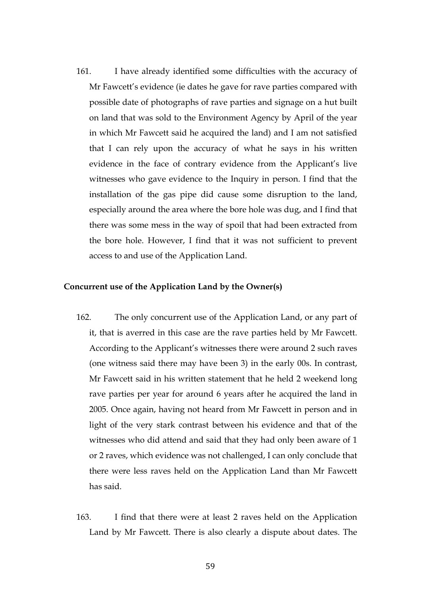161. I have already identified some difficulties with the accuracy of Mr Fawcett's evidence (ie dates he gave for rave parties compared with possible date of photographs of rave parties and signage on a hut built on land that was sold to the Environment Agency by April of the year in which Mr Fawcett said he acquired the land) and I am not satisfied that I can rely upon the accuracy of what he says in his written evidence in the face of contrary evidence from the Applicant's live witnesses who gave evidence to the Inquiry in person. I find that the installation of the gas pipe did cause some disruption to the land, especially around the area where the bore hole was dug, and I find that there was some mess in the way of spoil that had been extracted from the bore hole. However, I find that it was not sufficient to prevent access to and use of the Application Land.

## **Concurrent use of the Application Land by the Owner(s)**

- 162. The only concurrent use of the Application Land, or any part of it, that is averred in this case are the rave parties held by Mr Fawcett. According to the Applicant's witnesses there were around 2 such raves (one witness said there may have been 3) in the early 00s. In contrast, Mr Fawcett said in his written statement that he held 2 weekend long rave parties per year for around 6 years after he acquired the land in 2005. Once again, having not heard from Mr Fawcett in person and in light of the very stark contrast between his evidence and that of the witnesses who did attend and said that they had only been aware of 1 or 2 raves, which evidence was not challenged, I can only conclude that there were less raves held on the Application Land than Mr Fawcett has said.
- 163. I find that there were at least 2 raves held on the Application Land by Mr Fawcett. There is also clearly a dispute about dates. The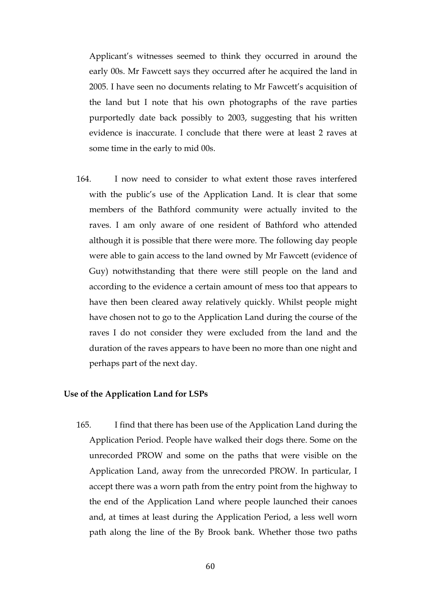Applicant's witnesses seemed to think they occurred in around the early 00s. Mr Fawcett says they occurred after he acquired the land in 2005. I have seen no documents relating to Mr Fawcett's acquisition of the land but I note that his own photographs of the rave parties purportedly date back possibly to 2003, suggesting that his written evidence is inaccurate. I conclude that there were at least 2 raves at some time in the early to mid 00s.

164. I now need to consider to what extent those raves interfered with the public's use of the Application Land. It is clear that some members of the Bathford community were actually invited to the raves. I am only aware of one resident of Bathford who attended although it is possible that there were more. The following day people were able to gain access to the land owned by Mr Fawcett (evidence of Guy) notwithstanding that there were still people on the land and according to the evidence a certain amount of mess too that appears to have then been cleared away relatively quickly. Whilst people might have chosen not to go to the Application Land during the course of the raves I do not consider they were excluded from the land and the duration of the raves appears to have been no more than one night and perhaps part of the next day.

### **Use of the Application Land for LSPs**

165. I find that there has been use of the Application Land during the Application Period. People have walked their dogs there. Some on the unrecorded PROW and some on the paths that were visible on the Application Land, away from the unrecorded PROW. In particular, I accept there was a worn path from the entry point from the highway to the end of the Application Land where people launched their canoes and, at times at least during the Application Period, a less well worn path along the line of the By Brook bank. Whether those two paths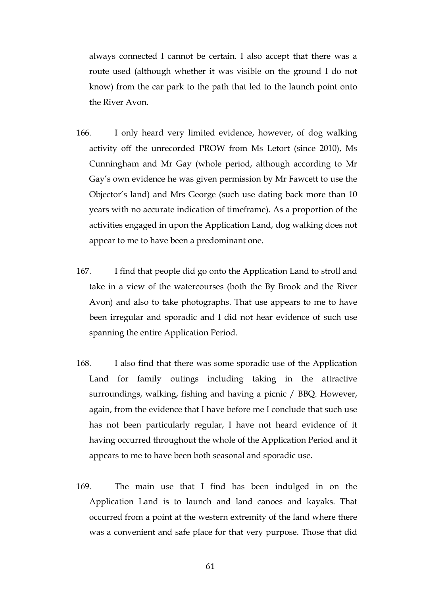always connected I cannot be certain. I also accept that there was a route used (although whether it was visible on the ground I do not know) from the car park to the path that led to the launch point onto the River Avon.

- 166. I only heard very limited evidence, however, of dog walking activity off the unrecorded PROW from Ms Letort (since 2010), Ms Cunningham and Mr Gay (whole period, although according to Mr Gay's own evidence he was given permission by Mr Fawcett to use the Objector's land) and Mrs George (such use dating back more than 10 years with no accurate indication of timeframe). As a proportion of the activities engaged in upon the Application Land, dog walking does not appear to me to have been a predominant one.
- 167. I find that people did go onto the Application Land to stroll and take in a view of the watercourses (both the By Brook and the River Avon) and also to take photographs. That use appears to me to have been irregular and sporadic and I did not hear evidence of such use spanning the entire Application Period.
- 168. I also find that there was some sporadic use of the Application Land for family outings including taking in the attractive surroundings, walking, fishing and having a picnic / BBQ. However, again, from the evidence that I have before me I conclude that such use has not been particularly regular, I have not heard evidence of it having occurred throughout the whole of the Application Period and it appears to me to have been both seasonal and sporadic use.
- 169. The main use that I find has been indulged in on the Application Land is to launch and land canoes and kayaks. That occurred from a point at the western extremity of the land where there was a convenient and safe place for that very purpose. Those that did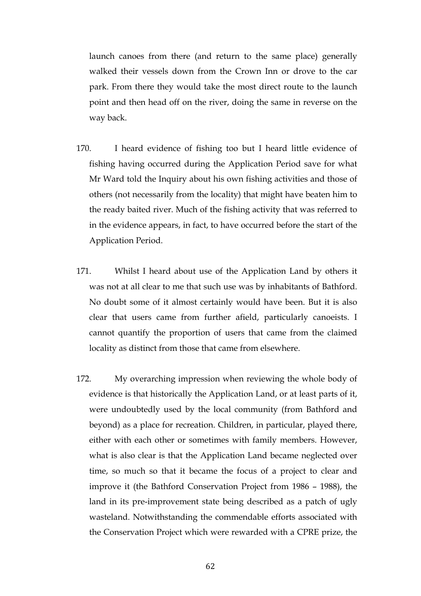launch canoes from there (and return to the same place) generally walked their vessels down from the Crown Inn or drove to the car park. From there they would take the most direct route to the launch point and then head off on the river, doing the same in reverse on the way back.

- 170. I heard evidence of fishing too but I heard little evidence of fishing having occurred during the Application Period save for what Mr Ward told the Inquiry about his own fishing activities and those of others (not necessarily from the locality) that might have beaten him to the ready baited river. Much of the fishing activity that was referred to in the evidence appears, in fact, to have occurred before the start of the Application Period.
- 171. Whilst I heard about use of the Application Land by others it was not at all clear to me that such use was by inhabitants of Bathford. No doubt some of it almost certainly would have been. But it is also clear that users came from further afield, particularly canoeists. I cannot quantify the proportion of users that came from the claimed locality as distinct from those that came from elsewhere.
- 172. My overarching impression when reviewing the whole body of evidence is that historically the Application Land, or at least parts of it, were undoubtedly used by the local community (from Bathford and beyond) as a place for recreation. Children, in particular, played there, either with each other or sometimes with family members. However, what is also clear is that the Application Land became neglected over time, so much so that it became the focus of a project to clear and improve it (the Bathford Conservation Project from 1986 – 1988), the land in its pre-improvement state being described as a patch of ugly wasteland. Notwithstanding the commendable efforts associated with the Conservation Project which were rewarded with a CPRE prize, the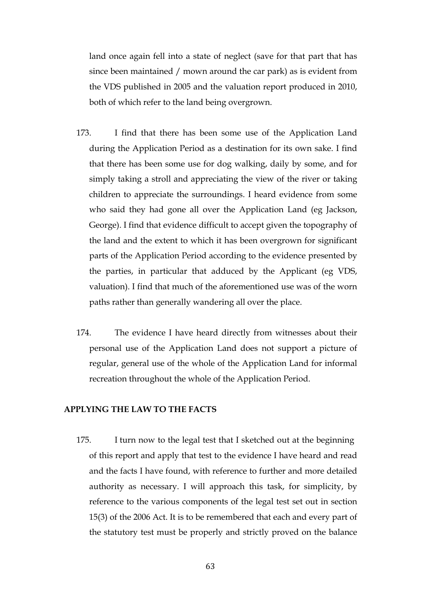land once again fell into a state of neglect (save for that part that has since been maintained / mown around the car park) as is evident from the VDS published in 2005 and the valuation report produced in 2010, both of which refer to the land being overgrown.

- 173. I find that there has been some use of the Application Land during the Application Period as a destination for its own sake. I find that there has been some use for dog walking, daily by some, and for simply taking a stroll and appreciating the view of the river or taking children to appreciate the surroundings. I heard evidence from some who said they had gone all over the Application Land (eg Jackson, George). I find that evidence difficult to accept given the topography of the land and the extent to which it has been overgrown for significant parts of the Application Period according to the evidence presented by the parties, in particular that adduced by the Applicant (eg VDS, valuation). I find that much of the aforementioned use was of the worn paths rather than generally wandering all over the place.
- 174. The evidence I have heard directly from witnesses about their personal use of the Application Land does not support a picture of regular, general use of the whole of the Application Land for informal recreation throughout the whole of the Application Period.

# **APPLYING THE LAW TO THE FACTS**

175. I turn now to the legal test that I sketched out at the beginning of this report and apply that test to the evidence I have heard and read and the facts I have found, with reference to further and more detailed authority as necessary. I will approach this task, for simplicity, by reference to the various components of the legal test set out in section 15(3) of the 2006 Act. It is to be remembered that each and every part of the statutory test must be properly and strictly proved on the balance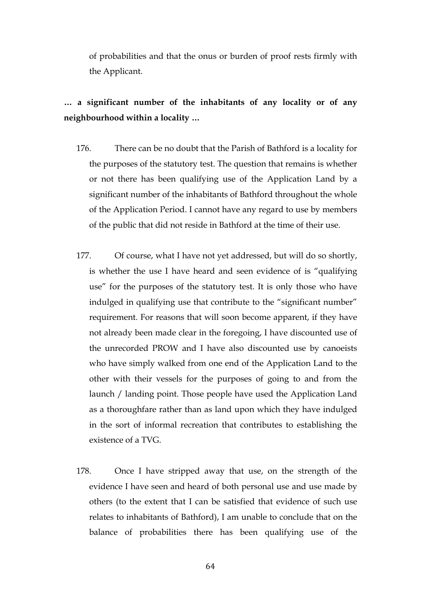of probabilities and that the onus or burden of proof rests firmly with the Applicant.

# **… a significant number of the inhabitants of any locality or of any neighbourhood within a locality …**

- 176. There can be no doubt that the Parish of Bathford is a locality for the purposes of the statutory test. The question that remains is whether or not there has been qualifying use of the Application Land by a significant number of the inhabitants of Bathford throughout the whole of the Application Period. I cannot have any regard to use by members of the public that did not reside in Bathford at the time of their use.
- 177. Of course, what I have not yet addressed, but will do so shortly, is whether the use I have heard and seen evidence of is "qualifying use" for the purposes of the statutory test. It is only those who have indulged in qualifying use that contribute to the "significant number" requirement. For reasons that will soon become apparent, if they have not already been made clear in the foregoing, I have discounted use of the unrecorded PROW and I have also discounted use by canoeists who have simply walked from one end of the Application Land to the other with their vessels for the purposes of going to and from the launch / landing point. Those people have used the Application Land as a thoroughfare rather than as land upon which they have indulged in the sort of informal recreation that contributes to establishing the existence of a TVG.
- 178. Once I have stripped away that use, on the strength of the evidence I have seen and heard of both personal use and use made by others (to the extent that I can be satisfied that evidence of such use relates to inhabitants of Bathford), I am unable to conclude that on the balance of probabilities there has been qualifying use of the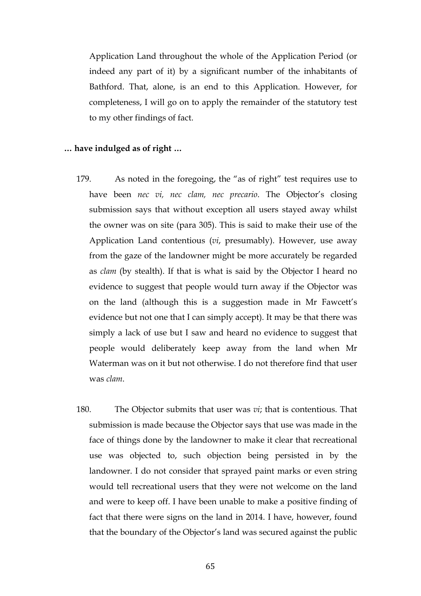Application Land throughout the whole of the Application Period (or indeed any part of it) by a significant number of the inhabitants of Bathford. That, alone, is an end to this Application. However, for completeness, I will go on to apply the remainder of the statutory test to my other findings of fact.

### **… have indulged as of right …**

- 179. As noted in the foregoing, the "as of right" test requires use to have been *nec vi, nec clam, nec precario*. The Objector's closing submission says that without exception all users stayed away whilst the owner was on site (para 305). This is said to make their use of the Application Land contentious (*vi*, presumably). However, use away from the gaze of the landowner might be more accurately be regarded as *clam* (by stealth). If that is what is said by the Objector I heard no evidence to suggest that people would turn away if the Objector was on the land (although this is a suggestion made in Mr Fawcett's evidence but not one that I can simply accept). It may be that there was simply a lack of use but I saw and heard no evidence to suggest that people would deliberately keep away from the land when Mr Waterman was on it but not otherwise. I do not therefore find that user was *clam*.
- 180. The Objector submits that user was *vi*; that is contentious. That submission is made because the Objector says that use was made in the face of things done by the landowner to make it clear that recreational use was objected to, such objection being persisted in by the landowner. I do not consider that sprayed paint marks or even string would tell recreational users that they were not welcome on the land and were to keep off. I have been unable to make a positive finding of fact that there were signs on the land in 2014. I have, however, found that the boundary of the Objector's land was secured against the public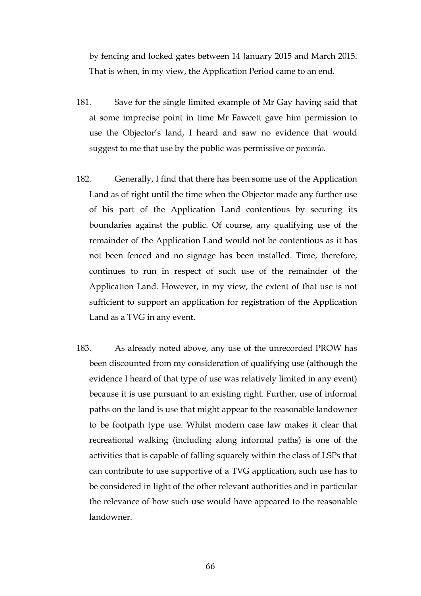by fencing and locked gates between 14 January 2015 and March 2015. That is when, in my view, the Application Period came to an end.

- 181. Save for the single limited example of Mr Gay having said that at some imprecise point in time Mr Fawcett gave him permission to use the Objector's land, I heard and saw no evidence that would suggest to me that use by the public was permissive or *precario.*
- 182. Generally, I find that there has been some use of the Application Land as of right until the time when the Objector made any further use of his part of the Application Land contentious by securing its boundaries against the public. Of course, any qualifying use of the remainder of the Application Land would not be contentious as it has not been fenced and no signage has been installed. Time, therefore, continues to run in respect of such use of the remainder of the Application Land. However, in my view, the extent of that use is not sufficient to support an application for registration of the Application Land as a TVG in any event.
- 183. As already noted above, any use of the unrecorded PROW has been discounted from my consideration of qualifying use (although the evidence I heard of that type of use was relatively limited in any event) because it is use pursuant to an existing right. Further, use of informal paths on the land is use that might appear to the reasonable landowner to be footpath type use. Whilst modern case law makes it clear that recreational walking (including along informal paths) is one of the activities that is capable of falling squarely within the class of LSPs that can contribute to use supportive of a TVG application, such use has to be considered in light of the other relevant authorities and in particular the relevance of how such use would have appeared to the reasonable landowner.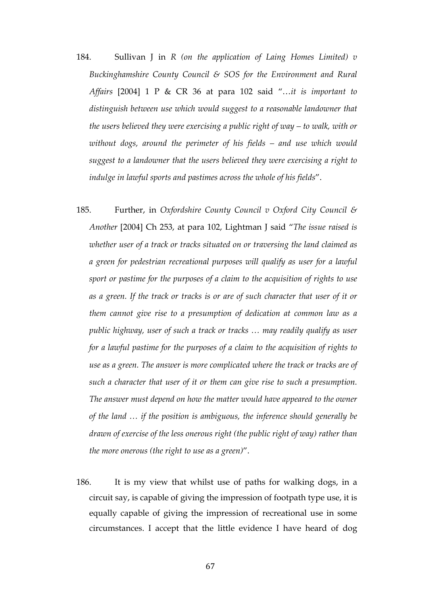- 184. Sullivan J in *R (on the application of Laing Homes Limited) v Buckinghamshire County Council & SOS for the Environment and Rural Affairs* [2004] 1 P & CR 36 at para 102 said "…*it is important to distinguish between use which would suggest to a reasonable landowner that the users believed they were exercising a public right of way – to walk, with or without dogs, around the perimeter of his fields – and use which would suggest to a landowner that the users believed they were exercising a right to indulge in lawful sports and pastimes across the whole of his fields*".
- 185. Further, in *Oxfordshire County Council v Oxford City Council & Another* [2004] Ch 253, at para 102, Lightman J said "*The issue raised is whether user of a track or tracks situated on or traversing the land claimed as a green for pedestrian recreational purposes will qualify as user for a lawful sport or pastime for the purposes of a claim to the acquisition of rights to use as a green. If the track or tracks is or are of such character that user of it or them cannot give rise to a presumption of dedication at common law as a public highway, user of such a track or tracks … may readily qualify as user for a lawful pastime for the purposes of a claim to the acquisition of rights to use as a green. The answer is more complicated where the track or tracks are of such a character that user of it or them can give rise to such a presumption. The answer must depend on how the matter would have appeared to the owner of the land … if the position is ambiguous, the inference should generally be drawn of exercise of the less onerous right (the public right of way) rather than the more onerous (the right to use as a green)*".
- 186. It is my view that whilst use of paths for walking dogs, in a circuit say, is capable of giving the impression of footpath type use, it is equally capable of giving the impression of recreational use in some circumstances. I accept that the little evidence I have heard of dog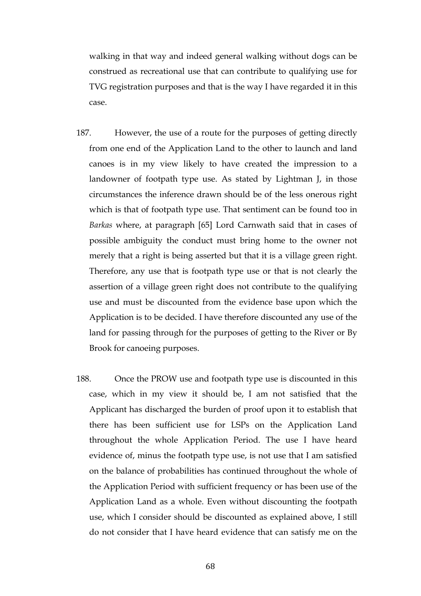walking in that way and indeed general walking without dogs can be construed as recreational use that can contribute to qualifying use for TVG registration purposes and that is the way I have regarded it in this case.

- 187. However, the use of a route for the purposes of getting directly from one end of the Application Land to the other to launch and land canoes is in my view likely to have created the impression to a landowner of footpath type use. As stated by Lightman J, in those circumstances the inference drawn should be of the less onerous right which is that of footpath type use. That sentiment can be found too in *Barkas* where, at paragraph [65] Lord Carnwath said that in cases of possible ambiguity the conduct must bring home to the owner not merely that a right is being asserted but that it is a village green right. Therefore, any use that is footpath type use or that is not clearly the assertion of a village green right does not contribute to the qualifying use and must be discounted from the evidence base upon which the Application is to be decided. I have therefore discounted any use of the land for passing through for the purposes of getting to the River or By Brook for canoeing purposes.
- 188. Once the PROW use and footpath type use is discounted in this case, which in my view it should be, I am not satisfied that the Applicant has discharged the burden of proof upon it to establish that there has been sufficient use for LSPs on the Application Land throughout the whole Application Period. The use I have heard evidence of, minus the footpath type use, is not use that I am satisfied on the balance of probabilities has continued throughout the whole of the Application Period with sufficient frequency or has been use of the Application Land as a whole. Even without discounting the footpath use, which I consider should be discounted as explained above, I still do not consider that I have heard evidence that can satisfy me on the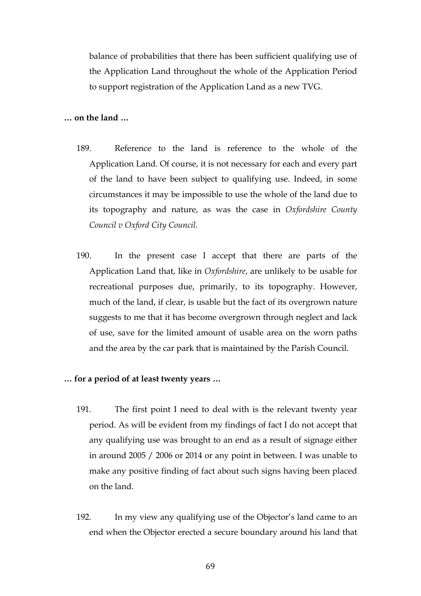balance of probabilities that there has been sufficient qualifying use of the Application Land throughout the whole of the Application Period to support registration of the Application Land as a new TVG.

# **… on the land …**

- 189. Reference to the land is reference to the whole of the Application Land. Of course, it is not necessary for each and every part of the land to have been subject to qualifying use. Indeed, in some circumstances it may be impossible to use the whole of the land due to its topography and nature, as was the case in *Oxfordshire County Council v Oxford City Council*.
- 190. In the present case I accept that there are parts of the Application Land that, like in *Oxfordshire*, are unlikely to be usable for recreational purposes due, primarily, to its topography. However, much of the land, if clear, is usable but the fact of its overgrown nature suggests to me that it has become overgrown through neglect and lack of use, save for the limited amount of usable area on the worn paths and the area by the car park that is maintained by the Parish Council.

#### **… for a period of at least twenty years …**

- 191. The first point I need to deal with is the relevant twenty year period. As will be evident from my findings of fact I do not accept that any qualifying use was brought to an end as a result of signage either in around 2005 / 2006 or 2014 or any point in between. I was unable to make any positive finding of fact about such signs having been placed on the land.
- 192. In my view any qualifying use of the Objector's land came to an end when the Objector erected a secure boundary around his land that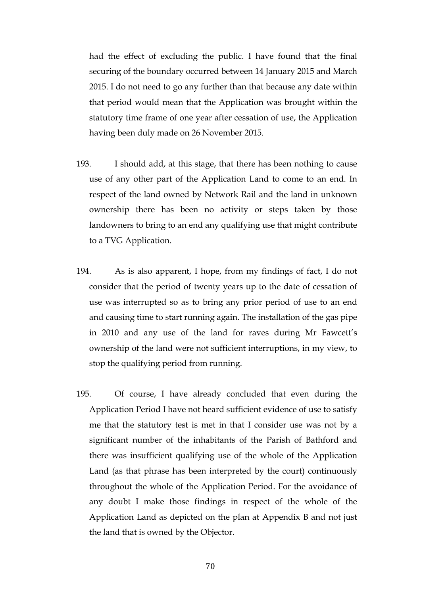had the effect of excluding the public. I have found that the final securing of the boundary occurred between 14 January 2015 and March 2015. I do not need to go any further than that because any date within that period would mean that the Application was brought within the statutory time frame of one year after cessation of use, the Application having been duly made on 26 November 2015.

- 193. I should add, at this stage, that there has been nothing to cause use of any other part of the Application Land to come to an end. In respect of the land owned by Network Rail and the land in unknown ownership there has been no activity or steps taken by those landowners to bring to an end any qualifying use that might contribute to a TVG Application.
- 194. As is also apparent, I hope, from my findings of fact, I do not consider that the period of twenty years up to the date of cessation of use was interrupted so as to bring any prior period of use to an end and causing time to start running again. The installation of the gas pipe in 2010 and any use of the land for raves during Mr Fawcett's ownership of the land were not sufficient interruptions, in my view, to stop the qualifying period from running.
- 195. Of course, I have already concluded that even during the Application Period I have not heard sufficient evidence of use to satisfy me that the statutory test is met in that I consider use was not by a significant number of the inhabitants of the Parish of Bathford and there was insufficient qualifying use of the whole of the Application Land (as that phrase has been interpreted by the court) continuously throughout the whole of the Application Period. For the avoidance of any doubt I make those findings in respect of the whole of the Application Land as depicted on the plan at Appendix B and not just the land that is owned by the Objector.